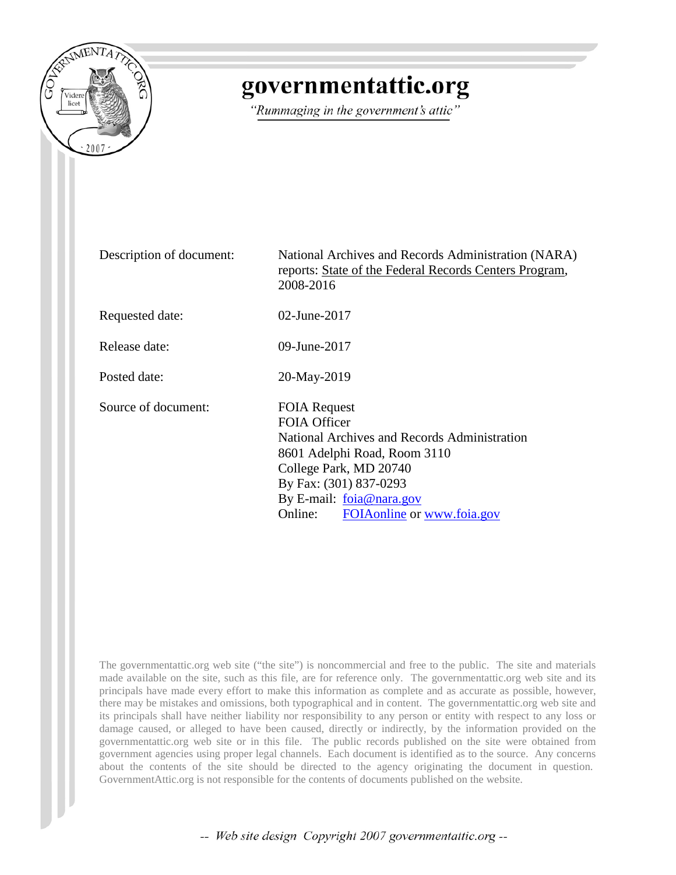

# governmentattic.org

"Rummaging in the government's attic"

| Description of document: | National Archives and Records Administration (NARA)<br>reports: State of the Federal Records Centers Program,<br>2008-2016                                                                                                                 |
|--------------------------|--------------------------------------------------------------------------------------------------------------------------------------------------------------------------------------------------------------------------------------------|
| Requested date:          | $02$ -June-2017                                                                                                                                                                                                                            |
| Release date:            | 09-June-2017                                                                                                                                                                                                                               |
| Posted date:             | 20-May-2019                                                                                                                                                                                                                                |
| Source of document:      | <b>FOIA Request</b><br>FOIA Officer<br>National Archives and Records Administration<br>8601 Adelphi Road, Room 3110<br>College Park, MD 20740<br>By Fax: (301) 837-0293<br>By E-mail: foia@nara.gov<br>Online: FOIA online or www.foia.gov |

The governmentattic.org web site ("the site") is noncommercial and free to the public. The site and materials made available on the site, such as this file, are for reference only. The governmentattic.org web site and its principals have made every effort to make this information as complete and as accurate as possible, however, there may be mistakes and omissions, both typographical and in content. The governmentattic.org web site and its principals shall have neither liability nor responsibility to any person or entity with respect to any loss or damage caused, or alleged to have been caused, directly or indirectly, by the information provided on the governmentattic.org web site or in this file. The public records published on the site were obtained from government agencies using proper legal channels. Each document is identified as to the source. Any concerns about the contents of the site should be directed to the agency originating the document in question. GovernmentAttic.org is not responsible for the contents of documents published on the website.

-- Web site design Copyright 2007 governmentattic.org --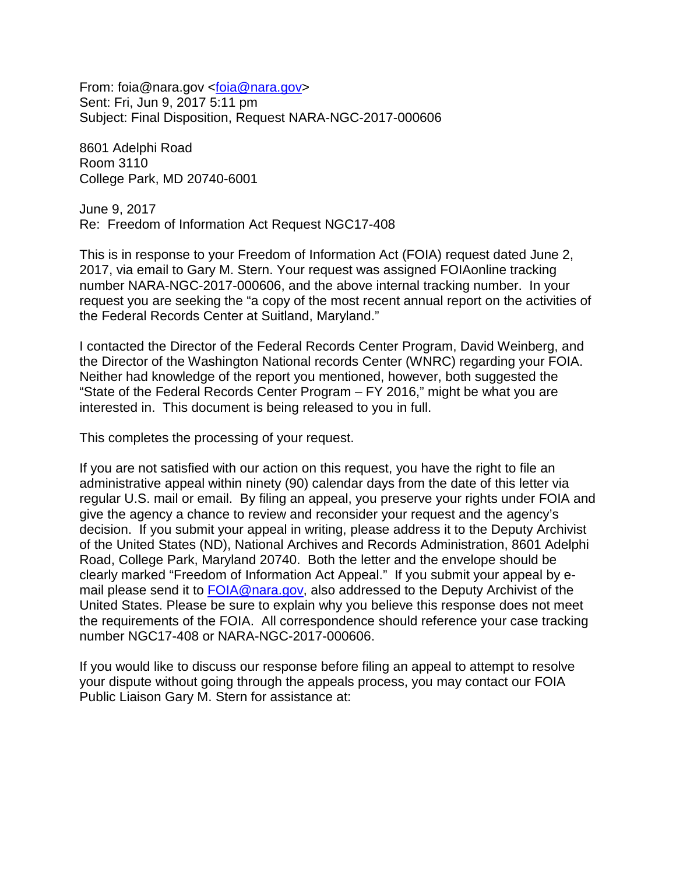From: foia@nara.gov [<foia@nara.gov>](mailto:foia@nara.gov) Sent: Fri, Jun 9, 2017 5:11 pm Subject: Final Disposition, Request NARA-NGC-2017-000606

8601 Adelphi Road Room 3110 College Park, MD 20740-6001

June 9, 2017 Re: Freedom of Information Act Request NGC17-408

This is in response to your Freedom of Information Act (FOIA) request dated June 2, 2017, via email to Gary M. Stern. Your request was assigned FOIAonline tracking number NARA-NGC-2017-000606, and the above internal tracking number. In your request you are seeking the "a copy of the most recent annual report on the activities of the Federal Records Center at Suitland, Maryland."

I contacted the Director of the Federal Records Center Program, David Weinberg, and the Director of the Washington National records Center (WNRC) regarding your FOIA. Neither had knowledge of the report you mentioned, however, both suggested the "State of the Federal Records Center Program – FY 2016," might be what you are interested in. This document is being released to you in full.

This completes the processing of your request.

If you are not satisfied with our action on this request, you have the right to file an administrative appeal within ninety (90) calendar days from the date of this letter via regular U.S. mail or email. By filing an appeal, you preserve your rights under FOIA and give the agency a chance to review and reconsider your request and the agency's decision. If you submit your appeal in writing, please address it to the Deputy Archivist of the United States (ND), National Archives and Records Administration, 8601 Adelphi Road, College Park, Maryland 20740. Both the letter and the envelope should be clearly marked "Freedom of Information Act Appeal." If you submit your appeal by email please send it to [FOIA@nara.gov,](mailto:foia@nara.gov) also addressed to the Deputy Archivist of the United States. Please be sure to explain why you believe this response does not meet the requirements of the FOIA. All correspondence should reference your case tracking number NGC17-408 or NARA-NGC-2017-000606.

If you would like to discuss our response before filing an appeal to attempt to resolve your dispute without going through the appeals process, you may contact our FOIA Public Liaison Gary M. Stern for assistance at: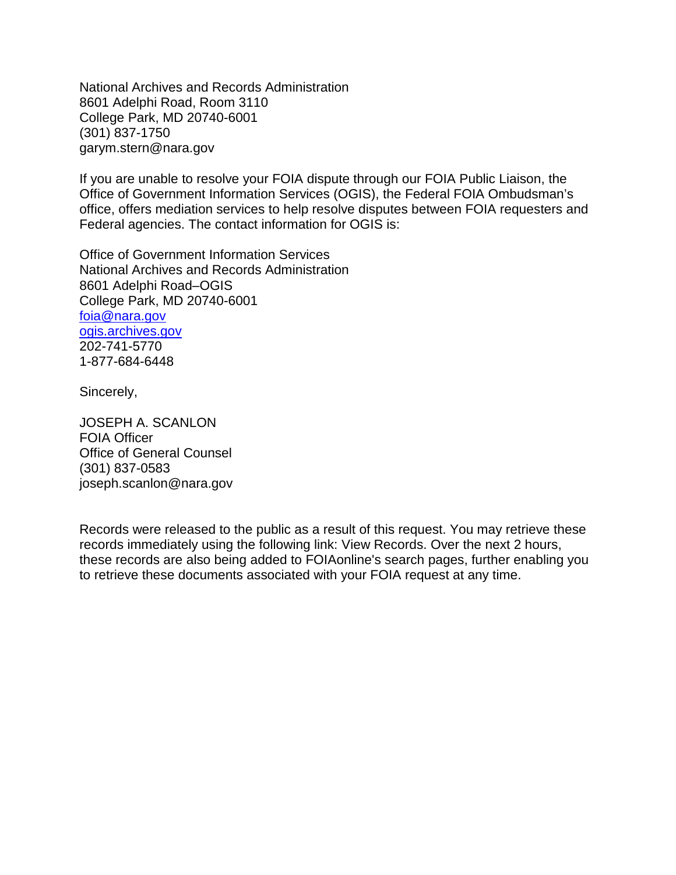National Archives and Records Administration 8601 Adelphi Road, Room 3110 College Park, MD 20740-6001 (301) 837-1750 garym.stern@nara.gov

If you are unable to resolve your FOIA dispute through our FOIA Public Liaison, the Office of Government Information Services (OGIS), the Federal FOIA Ombudsman's office, offers mediation services to help resolve disputes between FOIA requesters and Federal agencies. The contact information for OGIS is:

Office of Government Information Services National Archives and Records Administration 8601 Adelphi Road–OGIS College Park, MD 20740-6001 [foia@nara.gov](mailto:foia@nara.gov) ogis.archives.gov 202-741-5770 1-877-684-6448

Sincerely,

JOSEPH A. SCANLON FOIA Officer Office of General Counsel (301) 837-0583 joseph.scanlon@nara.gov

Records were released to the public as a result of this request. You may retrieve these records immediately using the following link: View Records. Over the next 2 hours, these records are also being added to FOIAonline's search pages, further enabling you to retrieve these documents associated with your FOIA request at any time.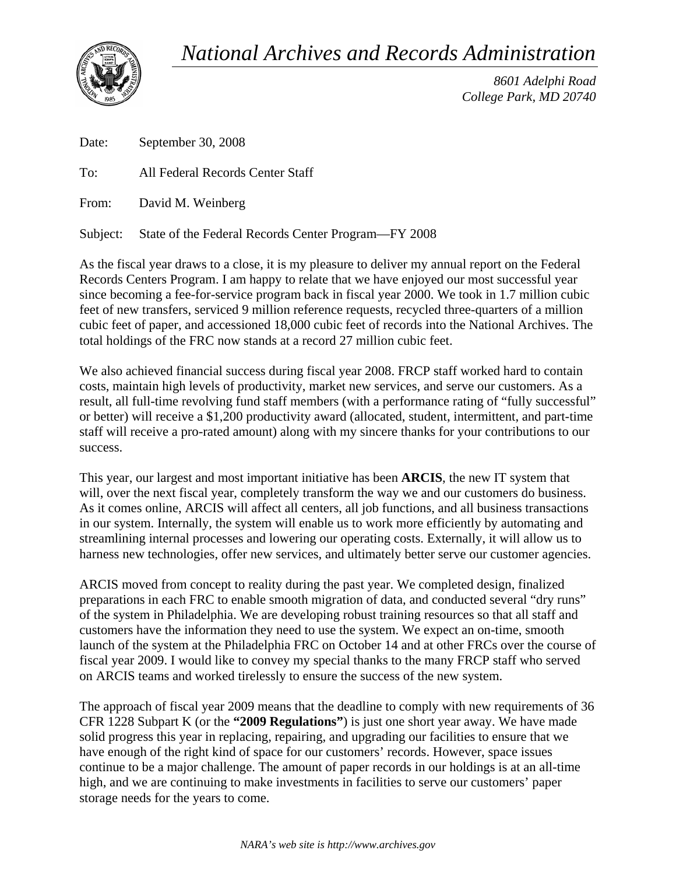*National Archives and Records Administration* 



*8601 Adelphi Road College Park, MD 20740* 

Date: September 30, 2008

To: All Federal Records Center Staff

From: David M. Weinberg

Subject: State of the Federal Records Center Program—FY 2008

As the fiscal year draws to a close, it is my pleasure to deliver my annual report on the Federal Records Centers Program. I am happy to relate that we have enjoyed our most successful year since becoming a fee-for-service program back in fiscal year 2000. We took in 1.7 million cubic feet of new transfers, serviced 9 million reference requests, recycled three-quarters of a million cubic feet of paper, and accessioned 18,000 cubic feet of records into the National Archives. The total holdings of the FRC now stands at a record 27 million cubic feet.

We also achieved financial success during fiscal year 2008. FRCP staff worked hard to contain costs, maintain high levels of productivity, market new services, and serve our customers. As a result, all full-time revolving fund staff members (with a performance rating of "fully successful" or better) will receive a \$1,200 productivity award (allocated, student, intermittent, and part-time staff will receive a pro-rated amount) along with my sincere thanks for your contributions to our success.

This year, our largest and most important initiative has been **ARCIS**, the new IT system that will, over the next fiscal year, completely transform the way we and our customers do business. As it comes online, ARCIS will affect all centers, all job functions, and all business transactions in our system. Internally, the system will enable us to work more efficiently by automating and streamlining internal processes and lowering our operating costs. Externally, it will allow us to harness new technologies, offer new services, and ultimately better serve our customer agencies.

ARCIS moved from concept to reality during the past year. We completed design, finalized preparations in each FRC to enable smooth migration of data, and conducted several "dry runs" of the system in Philadelphia. We are developing robust training resources so that all staff and customers have the information they need to use the system. We expect an on-time, smooth launch of the system at the Philadelphia FRC on October 14 and at other FRCs over the course of fiscal year 2009. I would like to convey my special thanks to the many FRCP staff who served on ARCIS teams and worked tirelessly to ensure the success of the new system.

The approach of fiscal year 2009 means that the deadline to comply with new requirements of 36 CFR 1228 Subpart K (or the **"2009 Regulations"**) is just one short year away. We have made solid progress this year in replacing, repairing, and upgrading our facilities to ensure that we have enough of the right kind of space for our customers' records. However, space issues continue to be a major challenge. The amount of paper records in our holdings is at an all-time high, and we are continuing to make investments in facilities to serve our customers' paper storage needs for the years to come.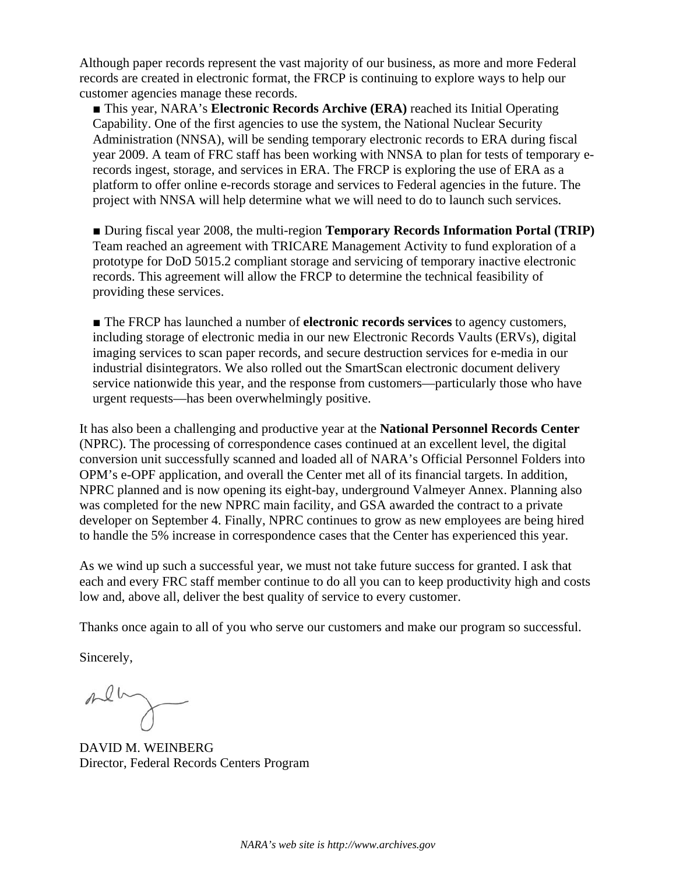Although paper records represent the vast majority of our business, as more and more Federal records are created in electronic format, the FRCP is continuing to explore ways to help our customer agencies manage these records.

■ This year, NARA's **Electronic Records Archive (ERA)** reached its Initial Operating Capability. One of the first agencies to use the system, the National Nuclear Security Administration (NNSA), will be sending temporary electronic records to ERA during fiscal year 2009. A team of FRC staff has been working with NNSA to plan for tests of temporary erecords ingest, storage, and services in ERA. The FRCP is exploring the use of ERA as a platform to offer online e-records storage and services to Federal agencies in the future. The project with NNSA will help determine what we will need to do to launch such services.

■ During fiscal year 2008, the multi-region **Temporary Records Information Portal (TRIP)** Team reached an agreement with TRICARE Management Activity to fund exploration of a prototype for DoD 5015.2 compliant storage and servicing of temporary inactive electronic records. This agreement will allow the FRCP to determine the technical feasibility of providing these services.

■ The FRCP has launched a number of **electronic records services** to agency customers, including storage of electronic media in our new Electronic Records Vaults (ERVs), digital imaging services to scan paper records, and secure destruction services for e-media in our industrial disintegrators. We also rolled out the SmartScan electronic document delivery service nationwide this year, and the response from customers—particularly those who have urgent requests—has been overwhelmingly positive.

It has also been a challenging and productive year at the **National Personnel Records Center** (NPRC). The processing of correspondence cases continued at an excellent level, the digital conversion unit successfully scanned and loaded all of NARA's Official Personnel Folders into OPM's e-OPF application, and overall the Center met all of its financial targets. In addition, NPRC planned and is now opening its eight-bay, underground Valmeyer Annex. Planning also was completed for the new NPRC main facility, and GSA awarded the contract to a private developer on September 4. Finally, NPRC continues to grow as new employees are being hired to handle the 5% increase in correspondence cases that the Center has experienced this year.

As we wind up such a successful year, we must not take future success for granted. I ask that each and every FRC staff member continue to do all you can to keep productivity high and costs low and, above all, deliver the best quality of service to every customer.

Thanks once again to all of you who serve our customers and make our program so successful.

Sincerely,

ment

DAVID M. WEINBERG Director, Federal Records Centers Program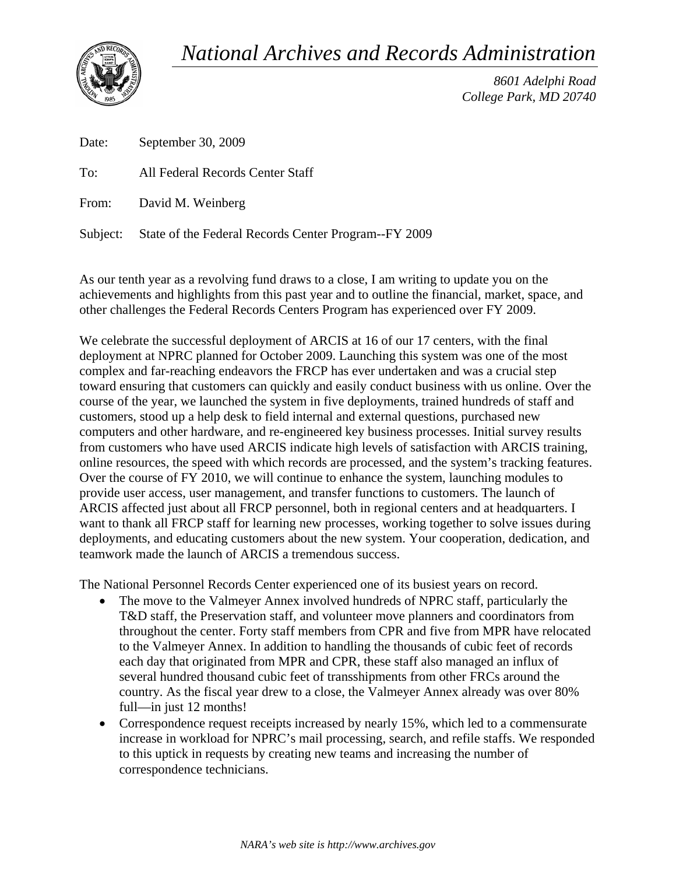*National Archives and Records Administration* 



*8601 Adelphi Road College Park, MD 20740* 

Date: September 30, 2009

To: All Federal Records Center Staff

From: David M. Weinberg

Subject: State of the Federal Records Center Program--FY 2009

As our tenth year as a revolving fund draws to a close, I am writing to update you on the achievements and highlights from this past year and to outline the financial, market, space, and other challenges the Federal Records Centers Program has experienced over FY 2009.

We celebrate the successful deployment of ARCIS at 16 of our 17 centers, with the final deployment at NPRC planned for October 2009. Launching this system was one of the most complex and far-reaching endeavors the FRCP has ever undertaken and was a crucial step toward ensuring that customers can quickly and easily conduct business with us online. Over the course of the year, we launched the system in five deployments, trained hundreds of staff and customers, stood up a help desk to field internal and external questions, purchased new computers and other hardware, and re-engineered key business processes. Initial survey results from customers who have used ARCIS indicate high levels of satisfaction with ARCIS training, online resources, the speed with which records are processed, and the system's tracking features. Over the course of FY 2010, we will continue to enhance the system, launching modules to provide user access, user management, and transfer functions to customers. The launch of ARCIS affected just about all FRCP personnel, both in regional centers and at headquarters. I want to thank all FRCP staff for learning new processes, working together to solve issues during deployments, and educating customers about the new system. Your cooperation, dedication, and teamwork made the launch of ARCIS a tremendous success.

The National Personnel Records Center experienced one of its busiest years on record.

- The move to the Valmeyer Annex involved hundreds of NPRC staff, particularly the T&D staff, the Preservation staff, and volunteer move planners and coordinators from throughout the center. Forty staff members from CPR and five from MPR have relocated to the Valmeyer Annex. In addition to handling the thousands of cubic feet of records each day that originated from MPR and CPR, these staff also managed an influx of several hundred thousand cubic feet of transshipments from other FRCs around the country. As the fiscal year drew to a close, the Valmeyer Annex already was over 80% full—in just 12 months!
- Correspondence request receipts increased by nearly 15%, which led to a commensurate increase in workload for NPRC's mail processing, search, and refile staffs. We responded to this uptick in requests by creating new teams and increasing the number of correspondence technicians.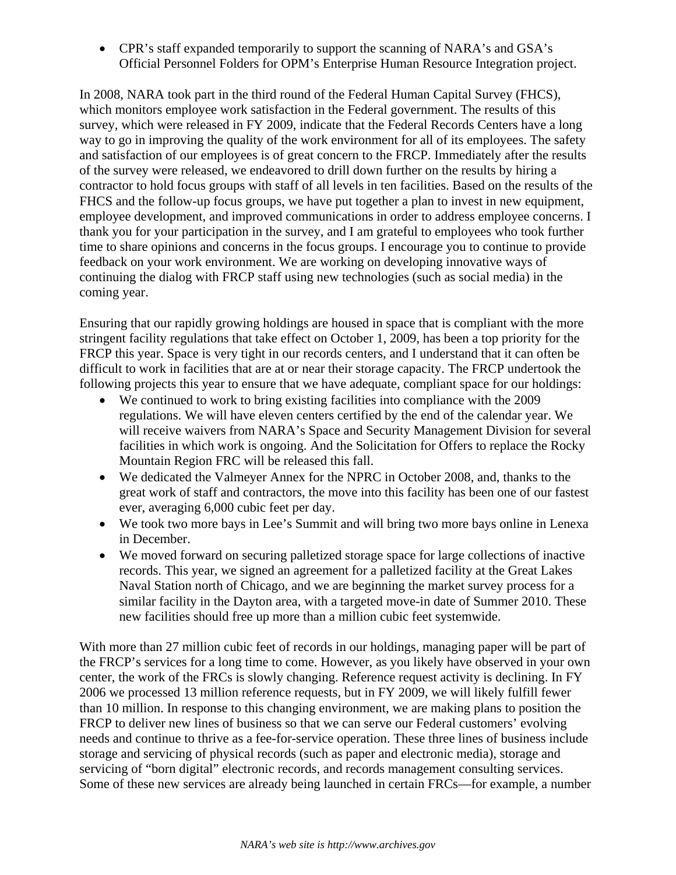CPR's staff expanded temporarily to support the scanning of NARA's and GSA's Official Personnel Folders for OPM's Enterprise Human Resource Integration project.

In 2008, NARA took part in the third round of the Federal Human Capital Survey (FHCS), which monitors employee work satisfaction in the Federal government. The results of this survey, which were released in FY 2009, indicate that the Federal Records Centers have a long way to go in improving the quality of the work environment for all of its employees. The safety and satisfaction of our employees is of great concern to the FRCP. Immediately after the results of the survey were released, we endeavored to drill down further on the results by hiring a contractor to hold focus groups with staff of all levels in ten facilities. Based on the results of the FHCS and the follow-up focus groups, we have put together a plan to invest in new equipment, employee development, and improved communications in order to address employee concerns. I thank you for your participation in the survey, and I am grateful to employees who took further time to share opinions and concerns in the focus groups. I encourage you to continue to provide feedback on your work environment. We are working on developing innovative ways of continuing the dialog with FRCP staff using new technologies (such as social media) in the coming year.

Ensuring that our rapidly growing holdings are housed in space that is compliant with the more stringent facility regulations that take effect on October 1, 2009, has been a top priority for the FRCP this year. Space is very tight in our records centers, and I understand that it can often be difficult to work in facilities that are at or near their storage capacity. The FRCP undertook the following projects this year to ensure that we have adequate, compliant space for our holdings:

- We continued to work to bring existing facilities into compliance with the 2009 regulations. We will have eleven centers certified by the end of the calendar year. We will receive waivers from NARA's Space and Security Management Division for several facilities in which work is ongoing. And the Solicitation for Offers to replace the Rocky Mountain Region FRC will be released this fall.
- We dedicated the Valmeyer Annex for the NPRC in October 2008, and, thanks to the great work of staff and contractors, the move into this facility has been one of our fastest ever, averaging 6,000 cubic feet per day.
- We took two more bays in Lee's Summit and will bring two more bays online in Lenexa in December.
- We moved forward on securing palletized storage space for large collections of inactive records. This year, we signed an agreement for a palletized facility at the Great Lakes Naval Station north of Chicago, and we are beginning the market survey process for a similar facility in the Dayton area, with a targeted move-in date of Summer 2010. These new facilities should free up more than a million cubic feet systemwide.

With more than 27 million cubic feet of records in our holdings, managing paper will be part of the FRCP's services for a long time to come. However, as you likely have observed in your own center, the work of the FRCs is slowly changing. Reference request activity is declining. In FY 2006 we processed 13 million reference requests, but in FY 2009, we will likely fulfill fewer than 10 million. In response to this changing environment, we are making plans to position the FRCP to deliver new lines of business so that we can serve our Federal customers' evolving needs and continue to thrive as a fee-for-service operation. These three lines of business include storage and servicing of physical records (such as paper and electronic media), storage and servicing of "born digital" electronic records, and records management consulting services. Some of these new services are already being launched in certain FRCs—for example, a number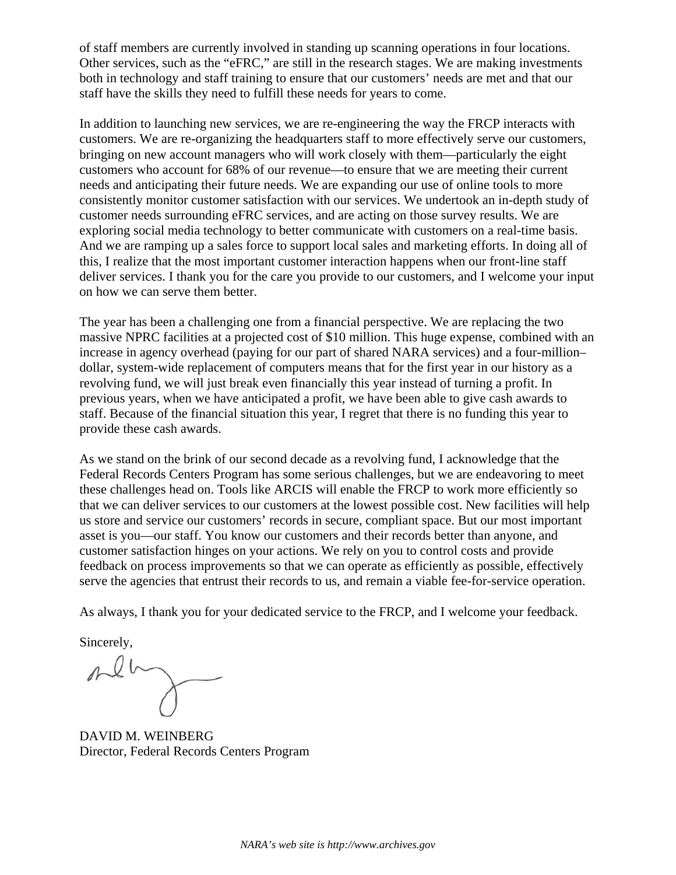of staff members are currently involved in standing up scanning operations in four locations. Other services, such as the "eFRC," are still in the research stages. We are making investments both in technology and staff training to ensure that our customers' needs are met and that our staff have the skills they need to fulfill these needs for years to come.

In addition to launching new services, we are re-engineering the way the FRCP interacts with customers. We are re-organizing the headquarters staff to more effectively serve our customers, bringing on new account managers who will work closely with them—particularly the eight customers who account for 68% of our revenue—to ensure that we are meeting their current needs and anticipating their future needs. We are expanding our use of online tools to more consistently monitor customer satisfaction with our services. We undertook an in-depth study of customer needs surrounding eFRC services, and are acting on those survey results. We are exploring social media technology to better communicate with customers on a real-time basis. And we are ramping up a sales force to support local sales and marketing efforts. In doing all of this, I realize that the most important customer interaction happens when our front-line staff deliver services. I thank you for the care you provide to our customers, and I welcome your input on how we can serve them better.

The year has been a challenging one from a financial perspective. We are replacing the two massive NPRC facilities at a projected cost of \$10 million. This huge expense, combined with an increase in agency overhead (paying for our part of shared NARA services) and a four-million– dollar, system-wide replacement of computers means that for the first year in our history as a revolving fund, we will just break even financially this year instead of turning a profit. In previous years, when we have anticipated a profit, we have been able to give cash awards to staff. Because of the financial situation this year, I regret that there is no funding this year to provide these cash awards.

As we stand on the brink of our second decade as a revolving fund, I acknowledge that the Federal Records Centers Program has some serious challenges, but we are endeavoring to meet these challenges head on. Tools like ARCIS will enable the FRCP to work more efficiently so that we can deliver services to our customers at the lowest possible cost. New facilities will help us store and service our customers' records in secure, compliant space. But our most important asset is you—our staff. You know our customers and their records better than anyone, and customer satisfaction hinges on your actions. We rely on you to control costs and provide feedback on process improvements so that we can operate as efficiently as possible, effectively serve the agencies that entrust their records to us, and remain a viable fee-for-service operation.

As always, I thank you for your dedicated service to the FRCP, and I welcome your feedback.

Sincerely,

 $\n *n*$ 

DAVID M. WEINBERG Director, Federal Records Centers Program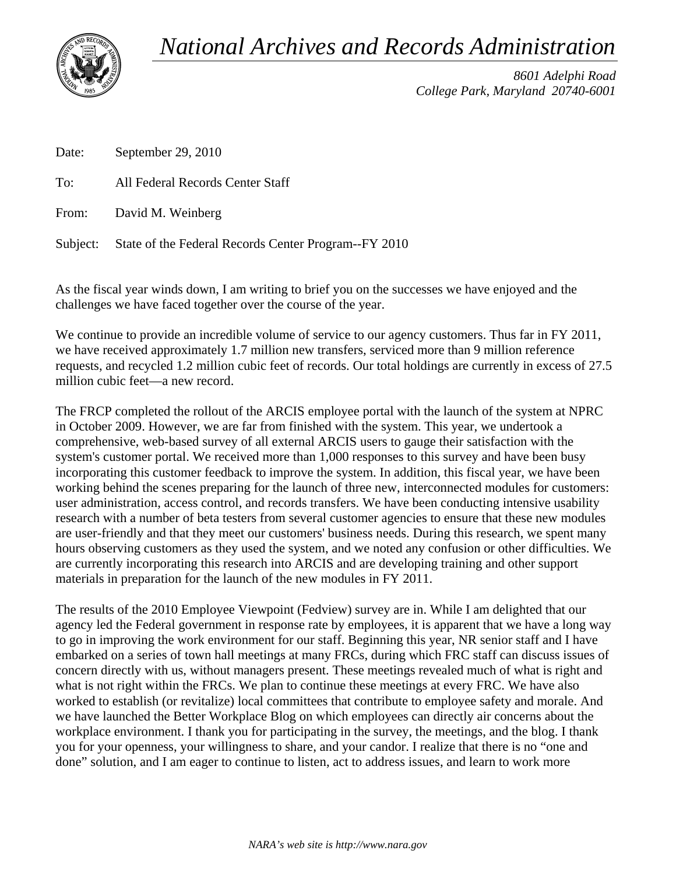*National Archives and Records Administration* 



*8601 Adelphi Road College Park, Maryland 20740-6001* 

Date: September 29, 2010

To: All Federal Records Center Staff

From: David M. Weinberg

Subject: State of the Federal Records Center Program--FY 2010

As the fiscal year winds down, I am writing to brief you on the successes we have enjoyed and the challenges we have faced together over the course of the year.

We continue to provide an incredible volume of service to our agency customers. Thus far in FY 2011, we have received approximately 1.7 million new transfers, serviced more than 9 million reference requests, and recycled 1.2 million cubic feet of records. Our total holdings are currently in excess of 27.5 million cubic feet—a new record.

The FRCP completed the rollout of the ARCIS employee portal with the launch of the system at NPRC in October 2009. However, we are far from finished with the system. This year, we undertook a comprehensive, web-based survey of all external ARCIS users to gauge their satisfaction with the system's customer portal. We received more than 1,000 responses to this survey and have been busy incorporating this customer feedback to improve the system. In addition, this fiscal year, we have been working behind the scenes preparing for the launch of three new, interconnected modules for customers: user administration, access control, and records transfers. We have been conducting intensive usability research with a number of beta testers from several customer agencies to ensure that these new modules are user-friendly and that they meet our customers' business needs. During this research, we spent many hours observing customers as they used the system, and we noted any confusion or other difficulties. We are currently incorporating this research into ARCIS and are developing training and other support materials in preparation for the launch of the new modules in FY 2011.

The results of the 2010 Employee Viewpoint (Fedview) survey are in. While I am delighted that our agency led the Federal government in response rate by employees, it is apparent that we have a long way to go in improving the work environment for our staff. Beginning this year, NR senior staff and I have embarked on a series of town hall meetings at many FRCs, during which FRC staff can discuss issues of concern directly with us, without managers present. These meetings revealed much of what is right and what is not right within the FRCs. We plan to continue these meetings at every FRC. We have also worked to establish (or revitalize) local committees that contribute to employee safety and morale. And we have launched the Better Workplace Blog on which employees can directly air concerns about the workplace environment. I thank you for participating in the survey, the meetings, and the blog. I thank you for your openness, your willingness to share, and your candor. I realize that there is no "one and done" solution, and I am eager to continue to listen, act to address issues, and learn to work more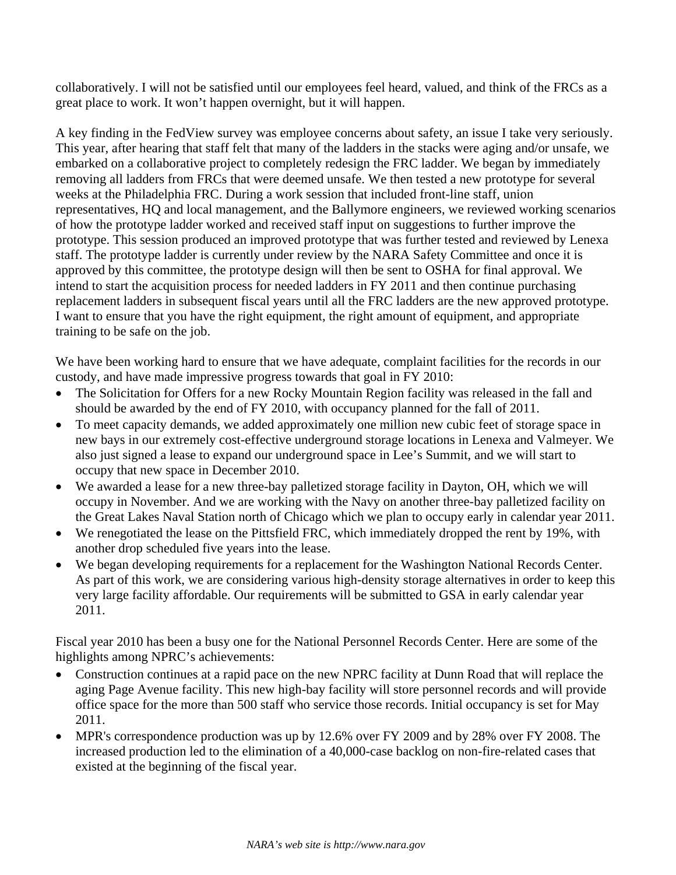collaboratively. I will not be satisfied until our employees feel heard, valued, and think of the FRCs as a great place to work. It won't happen overnight, but it will happen.

A key finding in the FedView survey was employee concerns about safety, an issue I take very seriously. This year, after hearing that staff felt that many of the ladders in the stacks were aging and/or unsafe, we embarked on a collaborative project to completely redesign the FRC ladder. We began by immediately removing all ladders from FRCs that were deemed unsafe. We then tested a new prototype for several weeks at the Philadelphia FRC. During a work session that included front-line staff, union representatives, HQ and local management, and the Ballymore engineers, we reviewed working scenarios of how the prototype ladder worked and received staff input on suggestions to further improve the prototype. This session produced an improved prototype that was further tested and reviewed by Lenexa staff. The prototype ladder is currently under review by the NARA Safety Committee and once it is approved by this committee, the prototype design will then be sent to OSHA for final approval. We intend to start the acquisition process for needed ladders in FY 2011 and then continue purchasing replacement ladders in subsequent fiscal years until all the FRC ladders are the new approved prototype. I want to ensure that you have the right equipment, the right amount of equipment, and appropriate training to be safe on the job.

We have been working hard to ensure that we have adequate, complaint facilities for the records in our custody, and have made impressive progress towards that goal in FY 2010:

- The Solicitation for Offers for a new Rocky Mountain Region facility was released in the fall and should be awarded by the end of FY 2010, with occupancy planned for the fall of 2011.
- To meet capacity demands, we added approximately one million new cubic feet of storage space in new bays in our extremely cost-effective underground storage locations in Lenexa and Valmeyer. We also just signed a lease to expand our underground space in Lee's Summit, and we will start to occupy that new space in December 2010.
- We awarded a lease for a new three-bay palletized storage facility in Dayton, OH, which we will occupy in November. And we are working with the Navy on another three-bay palletized facility on the Great Lakes Naval Station north of Chicago which we plan to occupy early in calendar year 2011.
- We renegotiated the lease on the Pittsfield FRC, which immediately dropped the rent by 19%, with another drop scheduled five years into the lease.
- We began developing requirements for a replacement for the Washington National Records Center. As part of this work, we are considering various high-density storage alternatives in order to keep this very large facility affordable. Our requirements will be submitted to GSA in early calendar year 2011.

Fiscal year 2010 has been a busy one for the National Personnel Records Center. Here are some of the highlights among NPRC's achievements:

- Construction continues at a rapid pace on the new NPRC facility at Dunn Road that will replace the aging Page Avenue facility. This new high-bay facility will store personnel records and will provide office space for the more than 500 staff who service those records. Initial occupancy is set for May 2011.
- MPR's correspondence production was up by 12.6% over FY 2009 and by 28% over FY 2008. The increased production led to the elimination of a 40,000-case backlog on non-fire-related cases that existed at the beginning of the fiscal year.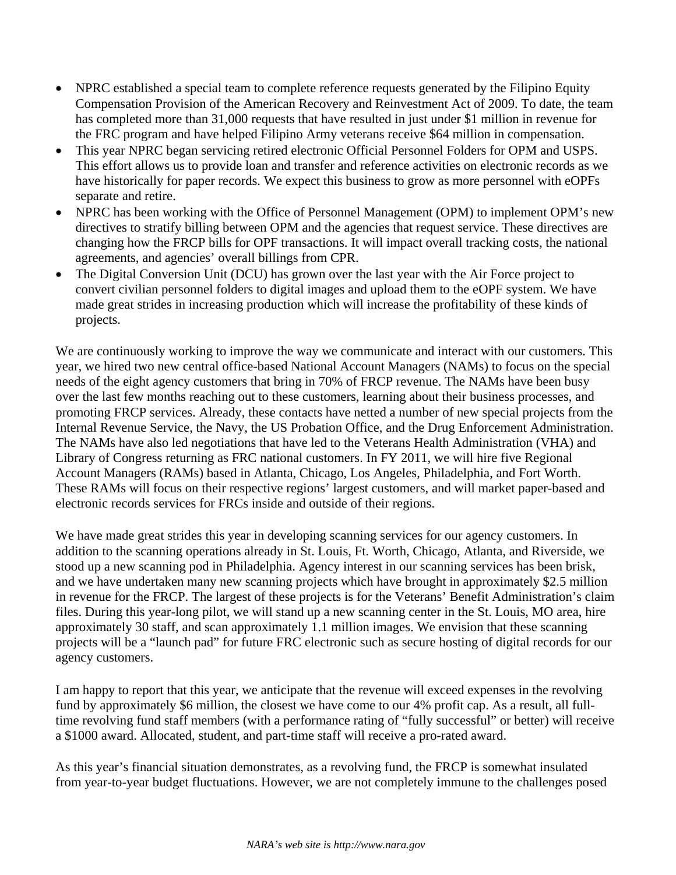- NPRC established a special team to complete reference requests generated by the Filipino Equity Compensation Provision of the American Recovery and Reinvestment Act of 2009. To date, the team has completed more than 31,000 requests that have resulted in just under \$1 million in revenue for the FRC program and have helped Filipino Army veterans receive \$64 million in compensation.
- This year NPRC began servicing retired electronic Official Personnel Folders for OPM and USPS. This effort allows us to provide loan and transfer and reference activities on electronic records as we have historically for paper records. We expect this business to grow as more personnel with eOPFs separate and retire.
- NPRC has been working with the Office of Personnel Management (OPM) to implement OPM's new directives to stratify billing between OPM and the agencies that request service. These directives are changing how the FRCP bills for OPF transactions. It will impact overall tracking costs, the national agreements, and agencies' overall billings from CPR.
- The Digital Conversion Unit (DCU) has grown over the last year with the Air Force project to convert civilian personnel folders to digital images and upload them to the eOPF system. We have made great strides in increasing production which will increase the profitability of these kinds of projects.

We are continuously working to improve the way we communicate and interact with our customers. This year, we hired two new central office-based National Account Managers (NAMs) to focus on the special needs of the eight agency customers that bring in 70% of FRCP revenue. The NAMs have been busy over the last few months reaching out to these customers, learning about their business processes, and promoting FRCP services. Already, these contacts have netted a number of new special projects from the Internal Revenue Service, the Navy, the US Probation Office, and the Drug Enforcement Administration. The NAMs have also led negotiations that have led to the Veterans Health Administration (VHA) and Library of Congress returning as FRC national customers. In FY 2011, we will hire five Regional Account Managers (RAMs) based in Atlanta, Chicago, Los Angeles, Philadelphia, and Fort Worth. These RAMs will focus on their respective regions' largest customers, and will market paper-based and electronic records services for FRCs inside and outside of their regions.

We have made great strides this year in developing scanning services for our agency customers. In addition to the scanning operations already in St. Louis, Ft. Worth, Chicago, Atlanta, and Riverside, we stood up a new scanning pod in Philadelphia. Agency interest in our scanning services has been brisk, and we have undertaken many new scanning projects which have brought in approximately \$2.5 million in revenue for the FRCP. The largest of these projects is for the Veterans' Benefit Administration's claim files. During this year-long pilot, we will stand up a new scanning center in the St. Louis, MO area, hire approximately 30 staff, and scan approximately 1.1 million images. We envision that these scanning projects will be a "launch pad" for future FRC electronic such as secure hosting of digital records for our agency customers.

I am happy to report that this year, we anticipate that the revenue will exceed expenses in the revolving fund by approximately \$6 million, the closest we have come to our 4% profit cap. As a result, all fulltime revolving fund staff members (with a performance rating of "fully successful" or better) will receive a \$1000 award. Allocated, student, and part-time staff will receive a pro-rated award.

As this year's financial situation demonstrates, as a revolving fund, the FRCP is somewhat insulated from year-to-year budget fluctuations. However, we are not completely immune to the challenges posed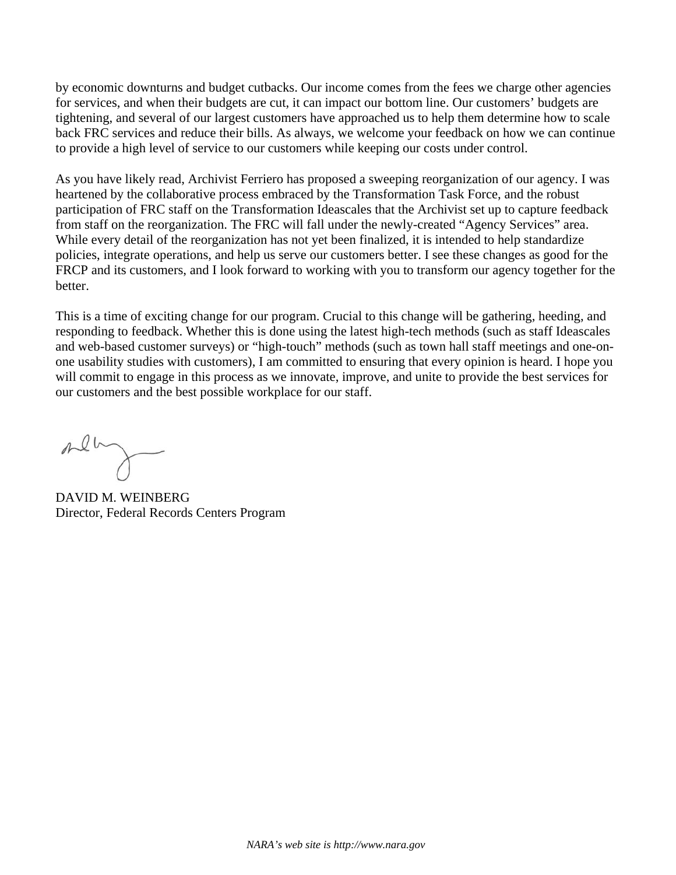by economic downturns and budget cutbacks. Our income comes from the fees we charge other agencies for services, and when their budgets are cut, it can impact our bottom line. Our customers' budgets are tightening, and several of our largest customers have approached us to help them determine how to scale back FRC services and reduce their bills. As always, we welcome your feedback on how we can continue to provide a high level of service to our customers while keeping our costs under control.

As you have likely read, Archivist Ferriero has proposed a sweeping reorganization of our agency. I was heartened by the collaborative process embraced by the Transformation Task Force, and the robust participation of FRC staff on the Transformation Ideascales that the Archivist set up to capture feedback from staff on the reorganization. The FRC will fall under the newly-created "Agency Services" area. While every detail of the reorganization has not yet been finalized, it is intended to help standardize policies, integrate operations, and help us serve our customers better. I see these changes as good for the FRCP and its customers, and I look forward to working with you to transform our agency together for the better.

This is a time of exciting change for our program. Crucial to this change will be gathering, heeding, and responding to feedback. Whether this is done using the latest high-tech methods (such as staff Ideascales and web-based customer surveys) or "high-touch" methods (such as town hall staff meetings and one-onone usability studies with customers), I am committed to ensuring that every opinion is heard. I hope you will commit to engage in this process as we innovate, improve, and unite to provide the best services for our customers and the best possible workplace for our staff.

mely

DAVID M. WEINBERG Director, Federal Records Centers Program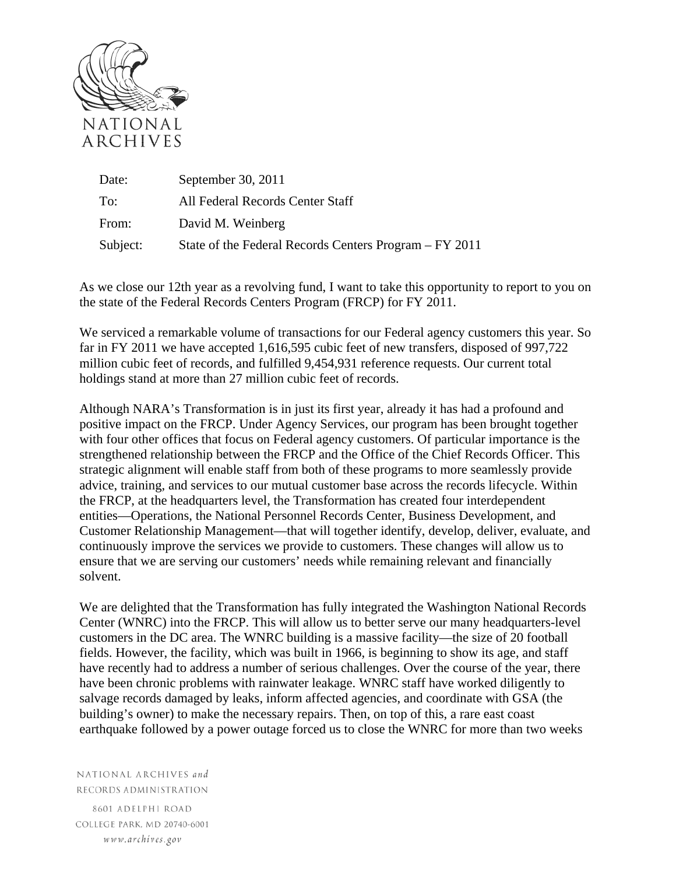

| Date:    | September 30, 2011                                     |
|----------|--------------------------------------------------------|
| To:      | All Federal Records Center Staff                       |
| From:    | David M. Weinberg                                      |
| Subject: | State of the Federal Records Centers Program – FY 2011 |

As we close our 12th year as a revolving fund, I want to take this opportunity to report to you on the state of the Federal Records Centers Program (FRCP) for FY 2011.

We serviced a remarkable volume of transactions for our Federal agency customers this year. So far in FY 2011 we have accepted 1,616,595 cubic feet of new transfers, disposed of 997,722 million cubic feet of records, and fulfilled 9,454,931 reference requests. Our current total holdings stand at more than 27 million cubic feet of records.

Although NARA's Transformation is in just its first year, already it has had a profound and positive impact on the FRCP. Under Agency Services, our program has been brought together with four other offices that focus on Federal agency customers. Of particular importance is the strengthened relationship between the FRCP and the Office of the Chief Records Officer. This strategic alignment will enable staff from both of these programs to more seamlessly provide advice, training, and services to our mutual customer base across the records lifecycle. Within the FRCP, at the headquarters level, the Transformation has created four interdependent entities—Operations, the National Personnel Records Center, Business Development, and Customer Relationship Management—that will together identify, develop, deliver, evaluate, and continuously improve the services we provide to customers. These changes will allow us to ensure that we are serving our customers' needs while remaining relevant and financially solvent.

We are delighted that the Transformation has fully integrated the Washington National Records Center (WNRC) into the FRCP. This will allow us to better serve our many headquarters-level customers in the DC area. The WNRC building is a massive facility—the size of 20 football fields. However, the facility, which was built in 1966, is beginning to show its age, and staff have recently had to address a number of serious challenges. Over the course of the year, there have been chronic problems with rainwater leakage. WNRC staff have worked diligently to salvage records damaged by leaks, inform affected agencies, and coordinate with GSA (the building's owner) to make the necessary repairs. Then, on top of this, a rare east coast earthquake followed by a power outage forced us to close the WNRC for more than two weeks

NATIONAL ARCHIVES and RECORDS ADMINISTRATION

8601 ADELPHI ROAD COLLEGE PARK. MD 20740-6001 www.archives.gov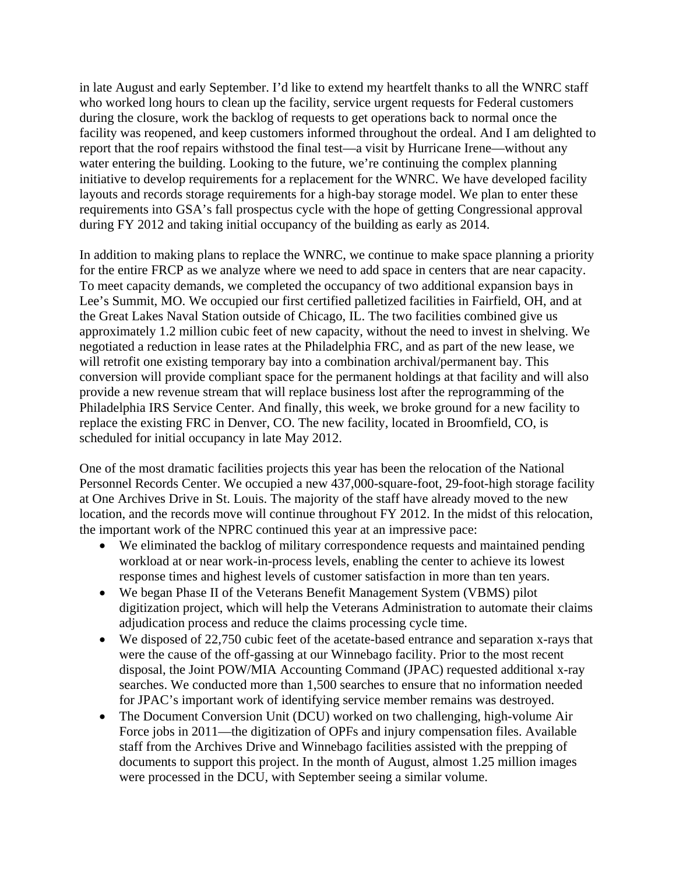in late August and early September. I'd like to extend my heartfelt thanks to all the WNRC staff who worked long hours to clean up the facility, service urgent requests for Federal customers during the closure, work the backlog of requests to get operations back to normal once the facility was reopened, and keep customers informed throughout the ordeal. And I am delighted to report that the roof repairs withstood the final test—a visit by Hurricane Irene—without any water entering the building. Looking to the future, we're continuing the complex planning initiative to develop requirements for a replacement for the WNRC. We have developed facility layouts and records storage requirements for a high-bay storage model. We plan to enter these requirements into GSA's fall prospectus cycle with the hope of getting Congressional approval during FY 2012 and taking initial occupancy of the building as early as 2014.

In addition to making plans to replace the WNRC, we continue to make space planning a priority for the entire FRCP as we analyze where we need to add space in centers that are near capacity. To meet capacity demands, we completed the occupancy of two additional expansion bays in Lee's Summit, MO. We occupied our first certified palletized facilities in Fairfield, OH, and at the Great Lakes Naval Station outside of Chicago, IL. The two facilities combined give us approximately 1.2 million cubic feet of new capacity, without the need to invest in shelving. We negotiated a reduction in lease rates at the Philadelphia FRC, and as part of the new lease, we will retrofit one existing temporary bay into a combination archival/permanent bay. This conversion will provide compliant space for the permanent holdings at that facility and will also provide a new revenue stream that will replace business lost after the reprogramming of the Philadelphia IRS Service Center. And finally, this week, we broke ground for a new facility to replace the existing FRC in Denver, CO. The new facility, located in Broomfield, CO, is scheduled for initial occupancy in late May 2012.

One of the most dramatic facilities projects this year has been the relocation of the National Personnel Records Center. We occupied a new 437,000-square-foot, 29-foot-high storage facility at One Archives Drive in St. Louis. The majority of the staff have already moved to the new location, and the records move will continue throughout FY 2012. In the midst of this relocation, the important work of the NPRC continued this year at an impressive pace:

- We eliminated the backlog of military correspondence requests and maintained pending workload at or near work-in-process levels, enabling the center to achieve its lowest response times and highest levels of customer satisfaction in more than ten years.
- We began Phase II of the Veterans Benefit Management System (VBMS) pilot digitization project, which will help the Veterans Administration to automate their claims adjudication process and reduce the claims processing cycle time.
- We disposed of 22,750 cubic feet of the acetate-based entrance and separation x-rays that were the cause of the off-gassing at our Winnebago facility. Prior to the most recent disposal, the Joint POW/MIA Accounting Command (JPAC) requested additional x-ray searches. We conducted more than 1,500 searches to ensure that no information needed for JPAC's important work of identifying service member remains was destroyed.
- The Document Conversion Unit (DCU) worked on two challenging, high-volume Air Force jobs in 2011—the digitization of OPFs and injury compensation files. Available staff from the Archives Drive and Winnebago facilities assisted with the prepping of documents to support this project. In the month of August, almost 1.25 million images were processed in the DCU, with September seeing a similar volume.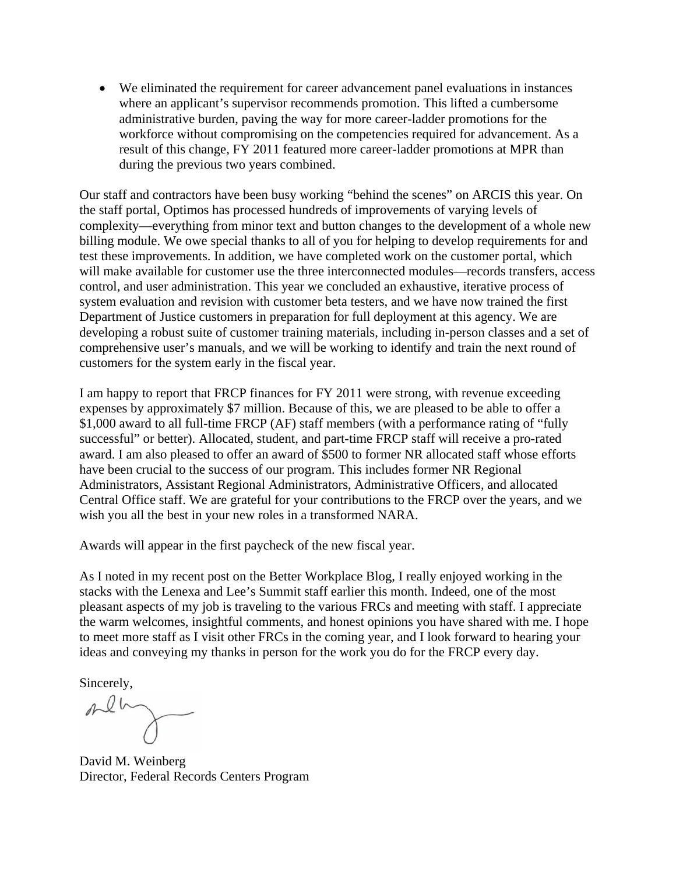We eliminated the requirement for career advancement panel evaluations in instances where an applicant's supervisor recommends promotion. This lifted a cumbersome administrative burden, paving the way for more career-ladder promotions for the workforce without compromising on the competencies required for advancement. As a result of this change, FY 2011 featured more career-ladder promotions at MPR than during the previous two years combined.

Our staff and contractors have been busy working "behind the scenes" on ARCIS this year. On the staff portal, Optimos has processed hundreds of improvements of varying levels of complexity—everything from minor text and button changes to the development of a whole new billing module. We owe special thanks to all of you for helping to develop requirements for and test these improvements. In addition, we have completed work on the customer portal, which will make available for customer use the three interconnected modules—records transfers, access control, and user administration. This year we concluded an exhaustive, iterative process of system evaluation and revision with customer beta testers, and we have now trained the first Department of Justice customers in preparation for full deployment at this agency. We are developing a robust suite of customer training materials, including in-person classes and a set of comprehensive user's manuals, and we will be working to identify and train the next round of customers for the system early in the fiscal year.

I am happy to report that FRCP finances for FY 2011 were strong, with revenue exceeding expenses by approximately \$7 million. Because of this, we are pleased to be able to offer a \$1,000 award to all full-time FRCP (AF) staff members (with a performance rating of "fully successful" or better). Allocated, student, and part-time FRCP staff will receive a pro-rated award. I am also pleased to offer an award of \$500 to former NR allocated staff whose efforts have been crucial to the success of our program. This includes former NR Regional Administrators, Assistant Regional Administrators, Administrative Officers, and allocated Central Office staff. We are grateful for your contributions to the FRCP over the years, and we wish you all the best in your new roles in a transformed NARA.

Awards will appear in the first paycheck of the new fiscal year.

As I noted in my recent post on the Better Workplace Blog, I really enjoyed working in the stacks with the Lenexa and Lee's Summit staff earlier this month. Indeed, one of the most pleasant aspects of my job is traveling to the various FRCs and meeting with staff. I appreciate the warm welcomes, insightful comments, and honest opinions you have shared with me. I hope to meet more staff as I visit other FRCs in the coming year, and I look forward to hearing your ideas and conveying my thanks in person for the work you do for the FRCP every day.

Sincerely,

David M. Weinberg Director, Federal Records Centers Program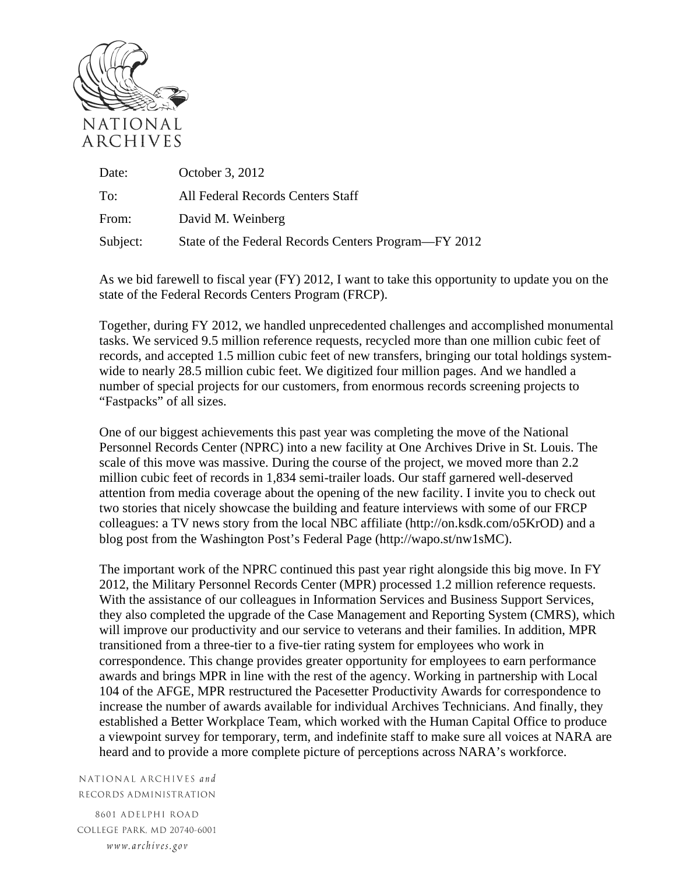

| Date:    | October 3, 2012                                      |
|----------|------------------------------------------------------|
| To:      | All Federal Records Centers Staff                    |
| From:    | David M. Weinberg                                    |
| Subject: | State of the Federal Records Centers Program—FY 2012 |

As we bid farewell to fiscal year (FY) 2012, I want to take this opportunity to update you on the state of the Federal Records Centers Program (FRCP).

Together, during FY 2012, we handled unprecedented challenges and accomplished monumental tasks. We serviced 9.5 million reference requests, recycled more than one million cubic feet of records, and accepted 1.5 million cubic feet of new transfers, bringing our total holdings systemwide to nearly 28.5 million cubic feet. We digitized four million pages. And we handled a number of special projects for our customers, from enormous records screening projects to "Fastpacks" of all sizes.

One of our biggest achievements this past year was completing the move of the National Personnel Records Center (NPRC) into a new facility at One Archives Drive in St. Louis. The scale of this move was massive. During the course of the project, we moved more than 2.2 million cubic feet of records in 1,834 semi-trailer loads. Our staff garnered well-deserved attention from media coverage about the opening of the new facility. I invite you to check out two stories that nicely showcase the building and feature interviews with some of our FRCP colleagues: a TV news story from the local NBC affiliate (http://on.ksdk.com/o5KrOD) and a blog post from the Washington Post's Federal Page (http://wapo.st/nw1sMC).

The important work of the NPRC continued this past year right alongside this big move. In FY 2012, the Military Personnel Records Center (MPR) processed 1.2 million reference requests. With the assistance of our colleagues in Information Services and Business Support Services, they also completed the upgrade of the Case Management and Reporting System (CMRS), which will improve our productivity and our service to veterans and their families. In addition, MPR transitioned from a three-tier to a five-tier rating system for employees who work in correspondence. This change provides greater opportunity for employees to earn performance awards and brings MPR in line with the rest of the agency. Working in partnership with Local 104 of the AFGE, MPR restructured the Pacesetter Productivity Awards for correspondence to increase the number of awards available for individual Archives Technicians. And finally, they established a Better Workplace Team, which worked with the Human Capital Office to produce a viewpoint survey for temporary, term, and indefinite staff to make sure all voices at NARA are heard and to provide a more complete picture of perceptions across NARA's workforce.

NATIONAL ARCHIVES and RECORDS ADMINISTRATION

8601 ADELPHI ROAD COLLEGE PARK, MD 20740-6001 www.archives.gov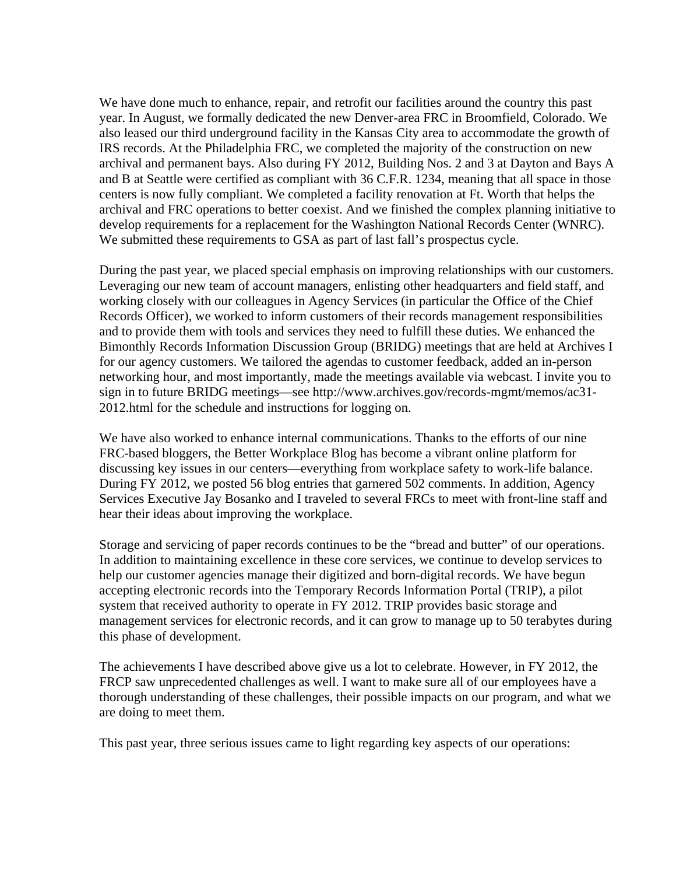We have done much to enhance, repair, and retrofit our facilities around the country this past year. In August, we formally dedicated the new Denver-area FRC in Broomfield, Colorado. We also leased our third underground facility in the Kansas City area to accommodate the growth of IRS records. At the Philadelphia FRC, we completed the majority of the construction on new archival and permanent bays. Also during FY 2012, Building Nos. 2 and 3 at Dayton and Bays A and B at Seattle were certified as compliant with 36 C.F.R. 1234, meaning that all space in those centers is now fully compliant. We completed a facility renovation at Ft. Worth that helps the archival and FRC operations to better coexist. And we finished the complex planning initiative to develop requirements for a replacement for the Washington National Records Center (WNRC). We submitted these requirements to GSA as part of last fall's prospectus cycle.

During the past year, we placed special emphasis on improving relationships with our customers. Leveraging our new team of account managers, enlisting other headquarters and field staff, and working closely with our colleagues in Agency Services (in particular the Office of the Chief Records Officer), we worked to inform customers of their records management responsibilities and to provide them with tools and services they need to fulfill these duties. We enhanced the Bimonthly Records Information Discussion Group (BRIDG) meetings that are held at Archives I for our agency customers. We tailored the agendas to customer feedback, added an in-person networking hour, and most importantly, made the meetings available via webcast. I invite you to sign in to future BRIDG meetings—see http://www.archives.gov/records-mgmt/memos/ac31- 2012.html for the schedule and instructions for logging on.

We have also worked to enhance internal communications. Thanks to the efforts of our nine FRC-based bloggers, the Better Workplace Blog has become a vibrant online platform for discussing key issues in our centers—everything from workplace safety to work-life balance. During FY 2012, we posted 56 blog entries that garnered 502 comments. In addition, Agency Services Executive Jay Bosanko and I traveled to several FRCs to meet with front-line staff and hear their ideas about improving the workplace.

Storage and servicing of paper records continues to be the "bread and butter" of our operations. In addition to maintaining excellence in these core services, we continue to develop services to help our customer agencies manage their digitized and born-digital records. We have begun accepting electronic records into the Temporary Records Information Portal (TRIP), a pilot system that received authority to operate in FY 2012. TRIP provides basic storage and management services for electronic records, and it can grow to manage up to 50 terabytes during this phase of development.

The achievements I have described above give us a lot to celebrate. However, in FY 2012, the FRCP saw unprecedented challenges as well. I want to make sure all of our employees have a thorough understanding of these challenges, their possible impacts on our program, and what we are doing to meet them.

This past year, three serious issues came to light regarding key aspects of our operations: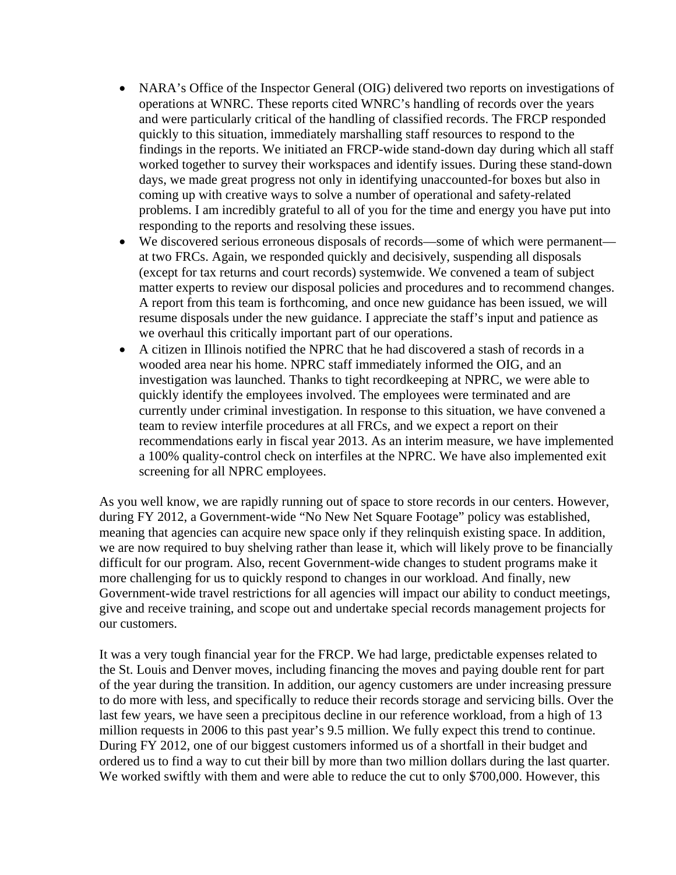- NARA's Office of the Inspector General (OIG) delivered two reports on investigations of operations at WNRC. These reports cited WNRC's handling of records over the years and were particularly critical of the handling of classified records. The FRCP responded quickly to this situation, immediately marshalling staff resources to respond to the findings in the reports. We initiated an FRCP-wide stand-down day during which all staff worked together to survey their workspaces and identify issues. During these stand-down days, we made great progress not only in identifying unaccounted-for boxes but also in coming up with creative ways to solve a number of operational and safety-related problems. I am incredibly grateful to all of you for the time and energy you have put into responding to the reports and resolving these issues.
- We discovered serious erroneous disposals of records—some of which were permanent at two FRCs. Again, we responded quickly and decisively, suspending all disposals (except for tax returns and court records) systemwide. We convened a team of subject matter experts to review our disposal policies and procedures and to recommend changes. A report from this team is forthcoming, and once new guidance has been issued, we will resume disposals under the new guidance. I appreciate the staff's input and patience as we overhaul this critically important part of our operations.
- A citizen in Illinois notified the NPRC that he had discovered a stash of records in a wooded area near his home. NPRC staff immediately informed the OIG, and an investigation was launched. Thanks to tight recordkeeping at NPRC, we were able to quickly identify the employees involved. The employees were terminated and are currently under criminal investigation. In response to this situation, we have convened a team to review interfile procedures at all FRCs, and we expect a report on their recommendations early in fiscal year 2013. As an interim measure, we have implemented a 100% quality-control check on interfiles at the NPRC. We have also implemented exit screening for all NPRC employees.

As you well know, we are rapidly running out of space to store records in our centers. However, during FY 2012, a Government-wide "No New Net Square Footage" policy was established, meaning that agencies can acquire new space only if they relinquish existing space. In addition, we are now required to buy shelving rather than lease it, which will likely prove to be financially difficult for our program. Also, recent Government-wide changes to student programs make it more challenging for us to quickly respond to changes in our workload. And finally, new Government-wide travel restrictions for all agencies will impact our ability to conduct meetings, give and receive training, and scope out and undertake special records management projects for our customers.

It was a very tough financial year for the FRCP. We had large, predictable expenses related to the St. Louis and Denver moves, including financing the moves and paying double rent for part of the year during the transition. In addition, our agency customers are under increasing pressure to do more with less, and specifically to reduce their records storage and servicing bills. Over the last few years, we have seen a precipitous decline in our reference workload, from a high of 13 million requests in 2006 to this past year's 9.5 million. We fully expect this trend to continue. During FY 2012, one of our biggest customers informed us of a shortfall in their budget and ordered us to find a way to cut their bill by more than two million dollars during the last quarter. We worked swiftly with them and were able to reduce the cut to only \$700,000. However, this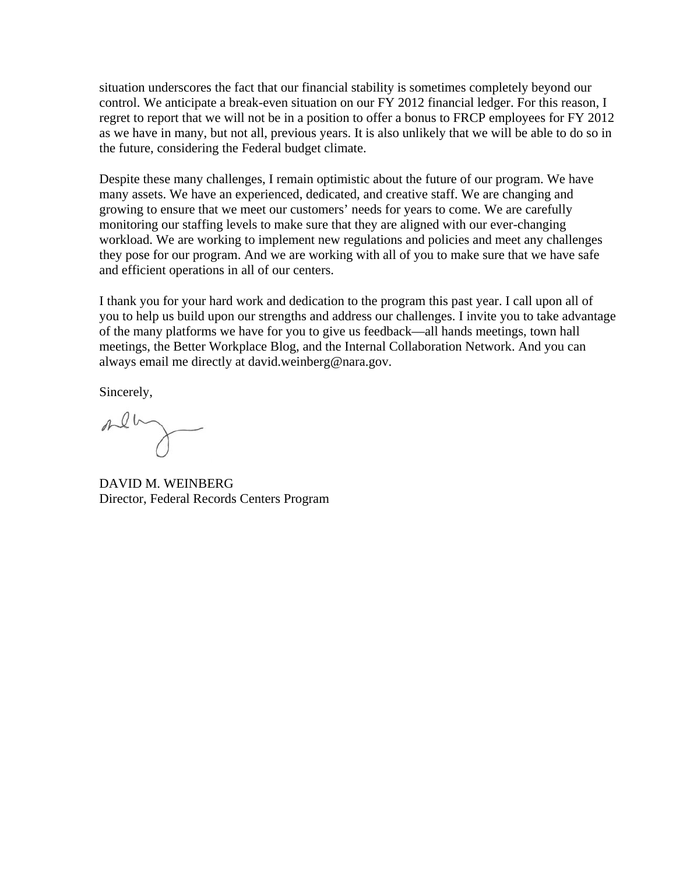situation underscores the fact that our financial stability is sometimes completely beyond our control. We anticipate a break-even situation on our FY 2012 financial ledger. For this reason, I regret to report that we will not be in a position to offer a bonus to FRCP employees for FY 2012 as we have in many, but not all, previous years. It is also unlikely that we will be able to do so in the future, considering the Federal budget climate.

Despite these many challenges, I remain optimistic about the future of our program. We have many assets. We have an experienced, dedicated, and creative staff. We are changing and growing to ensure that we meet our customers' needs for years to come. We are carefully monitoring our staffing levels to make sure that they are aligned with our ever-changing workload. We are working to implement new regulations and policies and meet any challenges they pose for our program. And we are working with all of you to make sure that we have safe and efficient operations in all of our centers.

I thank you for your hard work and dedication to the program this past year. I call upon all of you to help us build upon our strengths and address our challenges. I invite you to take advantage of the many platforms we have for you to give us feedback—all hands meetings, town hall meetings, the Better Workplace Blog, and the Internal Collaboration Network. And you can always email me directly at david.weinberg@nara.gov.

Sincerely,

meny

DAVID M. WEINBERG Director, Federal Records Centers Program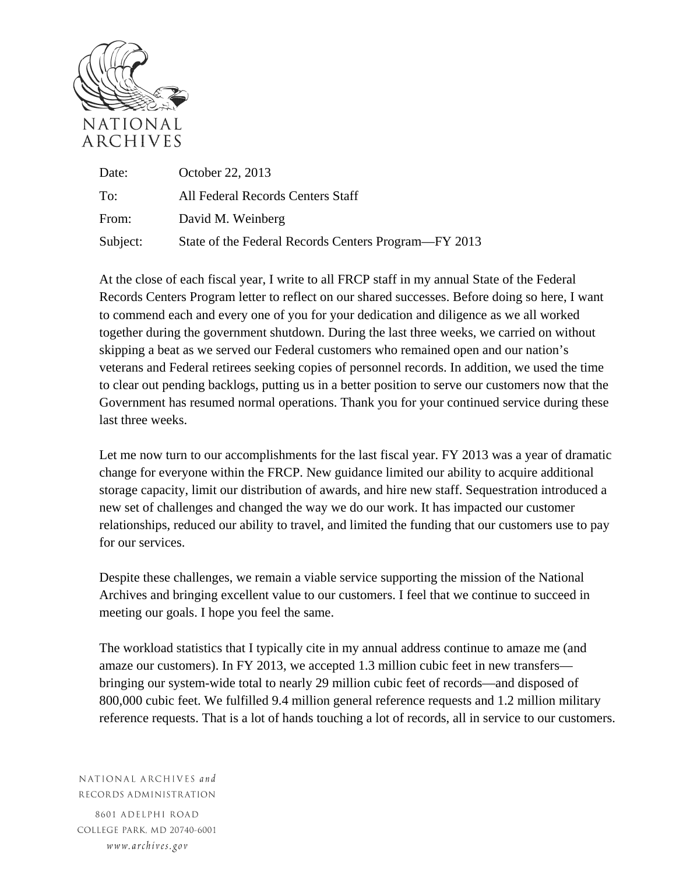

Date: October 22, 2013 To: All Federal Records Centers Staff From: David M. Weinberg Subject: State of the Federal Records Centers Program—FY 2013

At the close of each fiscal year, I write to all FRCP staff in my annual State of the Federal Records Centers Program letter to reflect on our shared successes. Before doing so here, I want to commend each and every one of you for your dedication and diligence as we all worked together during the government shutdown. During the last three weeks, we carried on without skipping a beat as we served our Federal customers who remained open and our nation's veterans and Federal retirees seeking copies of personnel records. In addition, we used the time to clear out pending backlogs, putting us in a better position to serve our customers now that the Government has resumed normal operations. Thank you for your continued service during these last three weeks.

Let me now turn to our accomplishments for the last fiscal year. FY 2013 was a year of dramatic change for everyone within the FRCP. New guidance limited our ability to acquire additional storage capacity, limit our distribution of awards, and hire new staff. Sequestration introduced a new set of challenges and changed the way we do our work. It has impacted our customer relationships, reduced our ability to travel, and limited the funding that our customers use to pay for our services.

Despite these challenges, we remain a viable service supporting the mission of the National Archives and bringing excellent value to our customers. I feel that we continue to succeed in meeting our goals. I hope you feel the same.

The workload statistics that I typically cite in my annual address continue to amaze me (and amaze our customers). In FY 2013, we accepted 1.3 million cubic feet in new transfers bringing our system-wide total to nearly 29 million cubic feet of records—and disposed of 800,000 cubic feet. We fulfilled 9.4 million general reference requests and 1.2 million military reference requests. That is a lot of hands touching a lot of records, all in service to our customers.

NATIONAL ARCHIVES and RECORDS ADMINISTRATION

8601 ADELPHI ROAD COLLEGE PARK, MD 20740-6001 www.archives.gov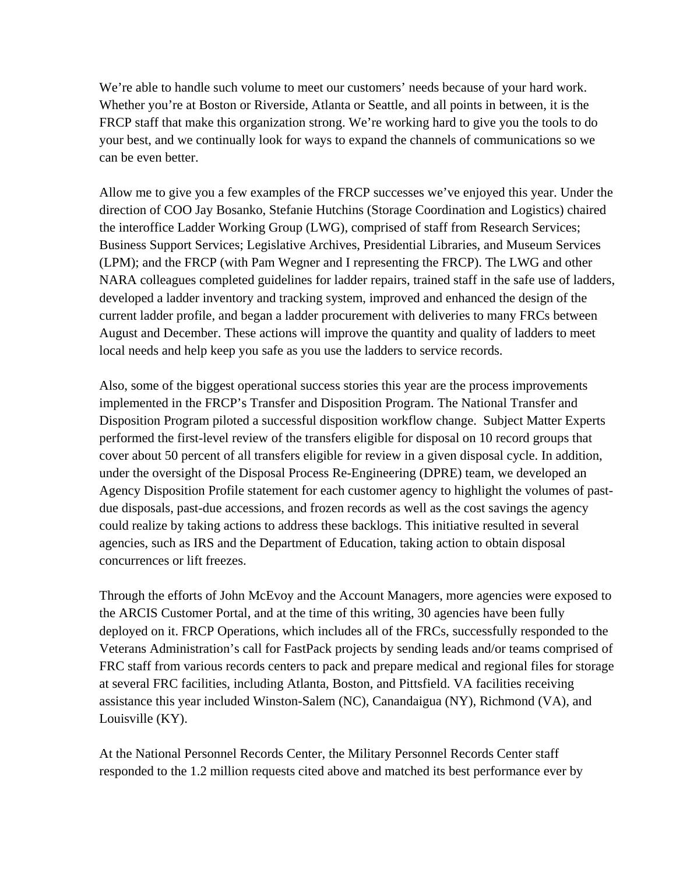We're able to handle such volume to meet our customers' needs because of your hard work. Whether you're at Boston or Riverside, Atlanta or Seattle, and all points in between, it is the FRCP staff that make this organization strong. We're working hard to give you the tools to do your best, and we continually look for ways to expand the channels of communications so we can be even better.

Allow me to give you a few examples of the FRCP successes we've enjoyed this year. Under the direction of COO Jay Bosanko, Stefanie Hutchins (Storage Coordination and Logistics) chaired the interoffice Ladder Working Group (LWG), comprised of staff from Research Services; Business Support Services; Legislative Archives, Presidential Libraries, and Museum Services (LPM); and the FRCP (with Pam Wegner and I representing the FRCP). The LWG and other NARA colleagues completed guidelines for ladder repairs, trained staff in the safe use of ladders, developed a ladder inventory and tracking system, improved and enhanced the design of the current ladder profile, and began a ladder procurement with deliveries to many FRCs between August and December. These actions will improve the quantity and quality of ladders to meet local needs and help keep you safe as you use the ladders to service records.

Also, some of the biggest operational success stories this year are the process improvements implemented in the FRCP's Transfer and Disposition Program. The National Transfer and Disposition Program piloted a successful disposition workflow change. Subject Matter Experts performed the first-level review of the transfers eligible for disposal on 10 record groups that cover about 50 percent of all transfers eligible for review in a given disposal cycle. In addition, under the oversight of the Disposal Process Re-Engineering (DPRE) team, we developed an Agency Disposition Profile statement for each customer agency to highlight the volumes of pastdue disposals, past-due accessions, and frozen records as well as the cost savings the agency could realize by taking actions to address these backlogs. This initiative resulted in several agencies, such as IRS and the Department of Education, taking action to obtain disposal concurrences or lift freezes.

Through the efforts of John McEvoy and the Account Managers, more agencies were exposed to the ARCIS Customer Portal, and at the time of this writing, 30 agencies have been fully deployed on it. FRCP Operations, which includes all of the FRCs, successfully responded to the Veterans Administration's call for FastPack projects by sending leads and/or teams comprised of FRC staff from various records centers to pack and prepare medical and regional files for storage at several FRC facilities, including Atlanta, Boston, and Pittsfield. VA facilities receiving assistance this year included Winston-Salem (NC), Canandaigua (NY), Richmond (VA), and Louisville (KY).

At the National Personnel Records Center, the Military Personnel Records Center staff responded to the 1.2 million requests cited above and matched its best performance ever by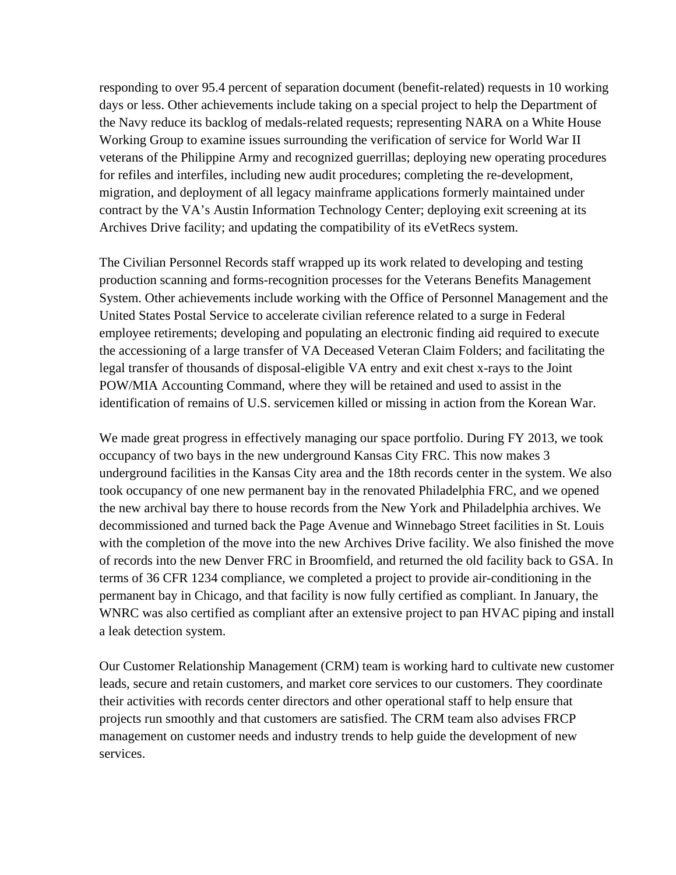responding to over 95.4 percent of separation document (benefit-related) requests in 10 working days or less. Other achievements include taking on a special project to help the Department of the Navy reduce its backlog of medals-related requests; representing NARA on a White House Working Group to examine issues surrounding the verification of service for World War II veterans of the Philippine Army and recognized guerrillas; deploying new operating procedures for refiles and interfiles, including new audit procedures; completing the re-development, migration, and deployment of all legacy mainframe applications formerly maintained under contract by the VA's Austin Information Technology Center; deploying exit screening at its Archives Drive facility; and updating the compatibility of its eVetRecs system.

The Civilian Personnel Records staff wrapped up its work related to developing and testing production scanning and forms-recognition processes for the Veterans Benefits Management System. Other achievements include working with the Office of Personnel Management and the United States Postal Service to accelerate civilian reference related to a surge in Federal employee retirements; developing and populating an electronic finding aid required to execute the accessioning of a large transfer of VA Deceased Veteran Claim Folders; and facilitating the legal transfer of thousands of disposal-eligible VA entry and exit chest x-rays to the Joint POW/MIA Accounting Command, where they will be retained and used to assist in the identification of remains of U.S. servicemen killed or missing in action from the Korean War.

We made great progress in effectively managing our space portfolio. During FY 2013, we took occupancy of two bays in the new underground Kansas City FRC. This now makes 3 underground facilities in the Kansas City area and the 18th records center in the system. We also took occupancy of one new permanent bay in the renovated Philadelphia FRC, and we opened the new archival bay there to house records from the New York and Philadelphia archives. We decommissioned and turned back the Page Avenue and Winnebago Street facilities in St. Louis with the completion of the move into the new Archives Drive facility. We also finished the move of records into the new Denver FRC in Broomfield, and returned the old facility back to GSA. In terms of 36 CFR 1234 compliance, we completed a project to provide air-conditioning in the permanent bay in Chicago, and that facility is now fully certified as compliant. In January, the WNRC was also certified as compliant after an extensive project to pan HVAC piping and install a leak detection system.

Our Customer Relationship Management (CRM) team is working hard to cultivate new customer leads, secure and retain customers, and market core services to our customers. They coordinate their activities with records center directors and other operational staff to help ensure that projects run smoothly and that customers are satisfied. The CRM team also advises FRCP management on customer needs and industry trends to help guide the development of new services.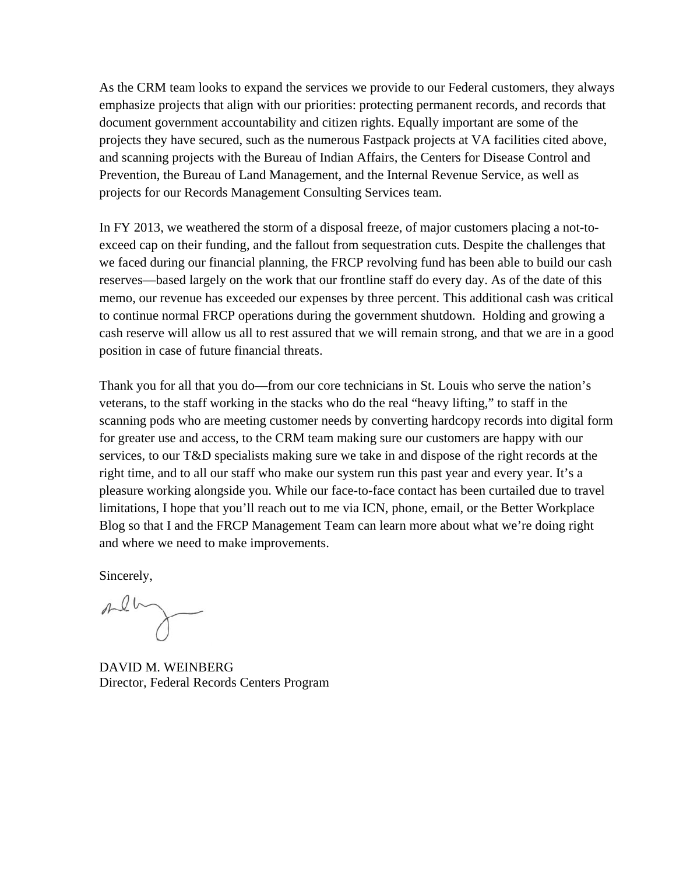As the CRM team looks to expand the services we provide to our Federal customers, they always emphasize projects that align with our priorities: protecting permanent records, and records that document government accountability and citizen rights. Equally important are some of the projects they have secured, such as the numerous Fastpack projects at VA facilities cited above, and scanning projects with the Bureau of Indian Affairs, the Centers for Disease Control and Prevention, the Bureau of Land Management, and the Internal Revenue Service, as well as projects for our Records Management Consulting Services team.

In FY 2013, we weathered the storm of a disposal freeze, of major customers placing a not-toexceed cap on their funding, and the fallout from sequestration cuts. Despite the challenges that we faced during our financial planning, the FRCP revolving fund has been able to build our cash reserves—based largely on the work that our frontline staff do every day. As of the date of this memo, our revenue has exceeded our expenses by three percent. This additional cash was critical to continue normal FRCP operations during the government shutdown. Holding and growing a cash reserve will allow us all to rest assured that we will remain strong, and that we are in a good position in case of future financial threats.

Thank you for all that you do—from our core technicians in St. Louis who serve the nation's veterans, to the staff working in the stacks who do the real "heavy lifting," to staff in the scanning pods who are meeting customer needs by converting hardcopy records into digital form for greater use and access, to the CRM team making sure our customers are happy with our services, to our T&D specialists making sure we take in and dispose of the right records at the right time, and to all our staff who make our system run this past year and every year. It's a pleasure working alongside you. While our face-to-face contact has been curtailed due to travel limitations, I hope that you'll reach out to me via ICN, phone, email, or the Better Workplace Blog so that I and the FRCP Management Team can learn more about what we're doing right and where we need to make improvements.

Sincerely,

men

DAVID M. WEINBERG Director, Federal Records Centers Program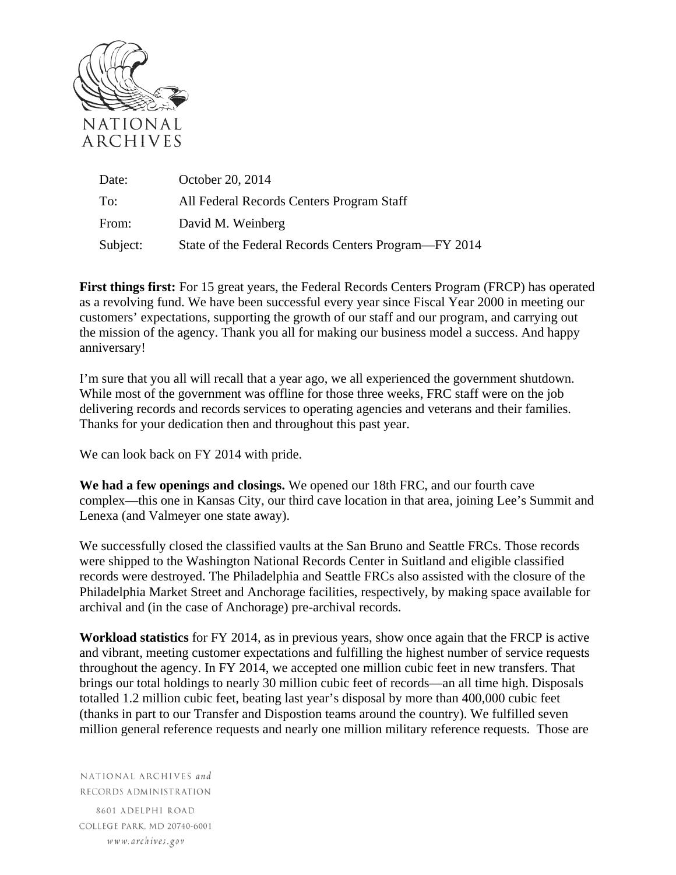

| Date:    | October 20, 2014                                     |
|----------|------------------------------------------------------|
| To:      | All Federal Records Centers Program Staff            |
| From:    | David M. Weinberg                                    |
| Subject: | State of the Federal Records Centers Program—FY 2014 |

**First things first:** For 15 great years, the Federal Records Centers Program (FRCP) has operated as a revolving fund. We have been successful every year since Fiscal Year 2000 in meeting our customers' expectations, supporting the growth of our staff and our program, and carrying out the mission of the agency. Thank you all for making our business model a success. And happy anniversary!

I'm sure that you all will recall that a year ago, we all experienced the government shutdown. While most of the government was offline for those three weeks, FRC staff were on the job delivering records and records services to operating agencies and veterans and their families. Thanks for your dedication then and throughout this past year.

We can look back on FY 2014 with pride.

**We had a few openings and closings.** We opened our 18th FRC, and our fourth cave complex—this one in Kansas City, our third cave location in that area, joining Lee's Summit and Lenexa (and Valmeyer one state away).

We successfully closed the classified vaults at the San Bruno and Seattle FRCs. Those records were shipped to the Washington National Records Center in Suitland and eligible classified records were destroyed. The Philadelphia and Seattle FRCs also assisted with the closure of the Philadelphia Market Street and Anchorage facilities, respectively, by making space available for archival and (in the case of Anchorage) pre-archival records.

**Workload statistics** for FY 2014, as in previous years, show once again that the FRCP is active and vibrant, meeting customer expectations and fulfilling the highest number of service requests throughout the agency. In FY 2014, we accepted one million cubic feet in new transfers. That brings our total holdings to nearly 30 million cubic feet of records—an all time high. Disposals totalled 1.2 million cubic feet, beating last year's disposal by more than 400,000 cubic feet (thanks in part to our Transfer and Dispostion teams around the country). We fulfilled seven million general reference requests and nearly one million military reference requests. Those are

NATIONAL ARCHIVES and RECORDS ADMINISTRATION

8601 ADELPHI ROAD COLLEGE PARK, MD 20740-6001 www.archives.gov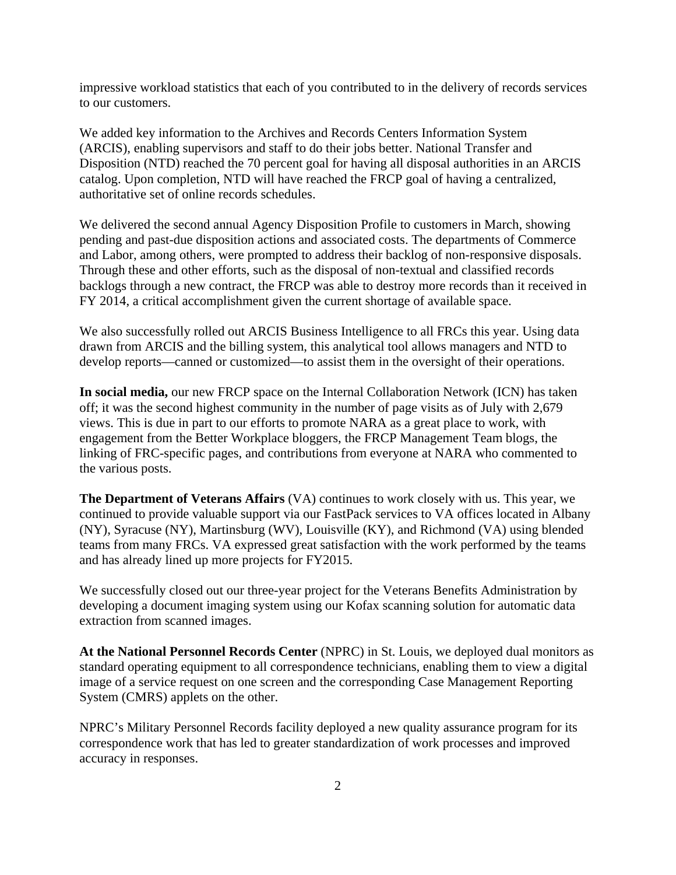impressive workload statistics that each of you contributed to in the delivery of records services to our customers.

We added key information to the Archives and Records Centers Information System (ARCIS), enabling supervisors and staff to do their jobs better. National Transfer and Disposition (NTD) reached the 70 percent goal for having all disposal authorities in an ARCIS catalog. Upon completion, NTD will have reached the FRCP goal of having a centralized, authoritative set of online records schedules.

We delivered the second annual Agency Disposition Profile to customers in March, showing pending and past-due disposition actions and associated costs. The departments of Commerce and Labor, among others, were prompted to address their backlog of non-responsive disposals. Through these and other efforts, such as the disposal of non-textual and classified records backlogs through a new contract, the FRCP was able to destroy more records than it received in FY 2014, a critical accomplishment given the current shortage of available space.

We also successfully rolled out ARCIS Business Intelligence to all FRCs this year. Using data drawn from ARCIS and the billing system, this analytical tool allows managers and NTD to develop reports—canned or customized—to assist them in the oversight of their operations.

**In social media,** our new FRCP space on the Internal Collaboration Network (ICN) has taken off; it was the second highest community in the number of page visits as of July with 2,679 views. This is due in part to our efforts to promote NARA as a great place to work, with engagement from the Better Workplace bloggers, the FRCP Management Team blogs, the linking of FRC-specific pages, and contributions from everyone at NARA who commented to the various posts.

**The Department of Veterans Affairs** (VA) continues to work closely with us. This year, we continued to provide valuable support via our FastPack services to VA offices located in Albany (NY), Syracuse (NY), Martinsburg (WV), Louisville (KY), and Richmond (VA) using blended teams from many FRCs. VA expressed great satisfaction with the work performed by the teams and has already lined up more projects for FY2015.

We successfully closed out our three-year project for the Veterans Benefits Administration by developing a document imaging system using our Kofax scanning solution for automatic data extraction from scanned images.

**At the National Personnel Records Center** (NPRC) in St. Louis, we deployed dual monitors as standard operating equipment to all correspondence technicians, enabling them to view a digital image of a service request on one screen and the corresponding Case Management Reporting System (CMRS) applets on the other.

NPRC's Military Personnel Records facility deployed a new quality assurance program for its correspondence work that has led to greater standardization of work processes and improved accuracy in responses.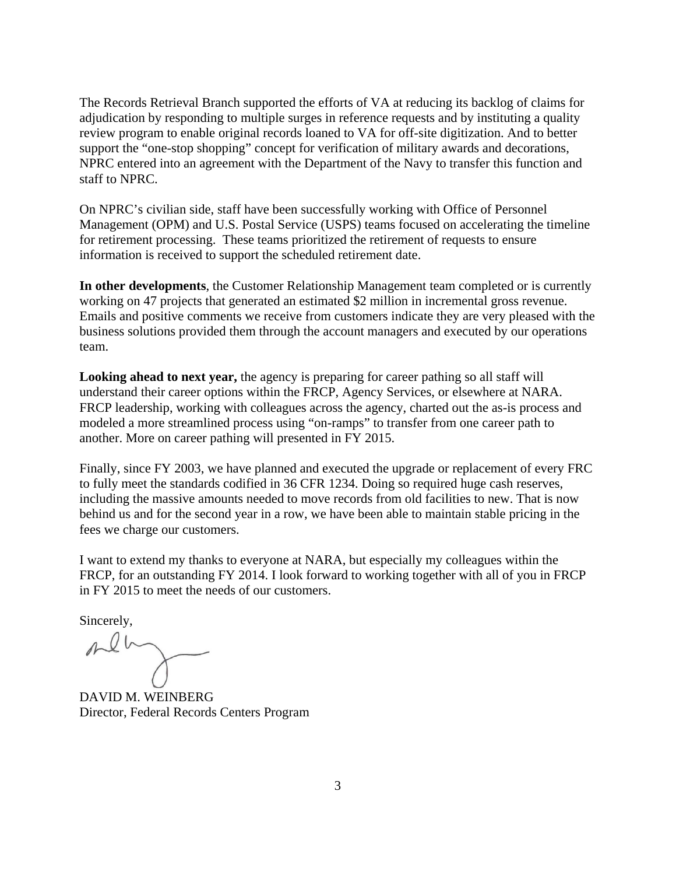The Records Retrieval Branch supported the efforts of VA at reducing its backlog of claims for adjudication by responding to multiple surges in reference requests and by instituting a quality review program to enable original records loaned to VA for off-site digitization. And to better support the "one-stop shopping" concept for verification of military awards and decorations, NPRC entered into an agreement with the Department of the Navy to transfer this function and staff to NPRC.

On NPRC's civilian side, staff have been successfully working with Office of Personnel Management (OPM) and U.S. Postal Service (USPS) teams focused on accelerating the timeline for retirement processing. These teams prioritized the retirement of requests to ensure information is received to support the scheduled retirement date.

**In other developments**, the Customer Relationship Management team completed or is currently working on 47 projects that generated an estimated \$2 million in incremental gross revenue. Emails and positive comments we receive from customers indicate they are very pleased with the business solutions provided them through the account managers and executed by our operations team.

**Looking ahead to next year,** the agency is preparing for career pathing so all staff will understand their career options within the FRCP, Agency Services, or elsewhere at NARA. FRCP leadership, working with colleagues across the agency, charted out the as-is process and modeled a more streamlined process using "on-ramps" to transfer from one career path to another. More on career pathing will presented in FY 2015.

Finally, since FY 2003, we have planned and executed the upgrade or replacement of every FRC to fully meet the standards codified in 36 CFR 1234. Doing so required huge cash reserves, including the massive amounts needed to move records from old facilities to new. That is now behind us and for the second year in a row, we have been able to maintain stable pricing in the fees we charge our customers.

I want to extend my thanks to everyone at NARA, but especially my colleagues within the FRCP, for an outstanding FY 2014. I look forward to working together with all of you in FRCP in FY 2015 to meet the needs of our customers.

Sincerely,

DAVID M. WEINBERG Director, Federal Records Centers Program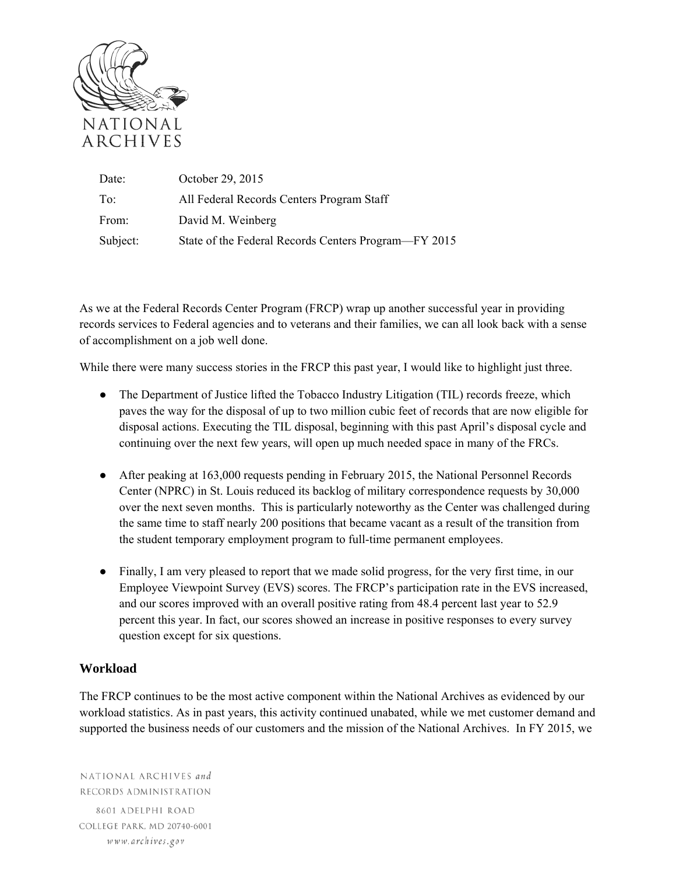

| Date:    | October 29, 2015                                     |
|----------|------------------------------------------------------|
| To:      | All Federal Records Centers Program Staff            |
| From:    | David M. Weinberg                                    |
| Subject: | State of the Federal Records Centers Program—FY 2015 |

As we at the Federal Records Center Program (FRCP) wrap up another successful year in providing records services to Federal agencies and to veterans and their families, we can all look back with a sense of accomplishment on a job well done.

While there were many success stories in the FRCP this past year, I would like to highlight just three.

- The Department of Justice lifted the Tobacco Industry Litigation (TIL) records freeze, which paves the way for the disposal of up to two million cubic feet of records that are now eligible for disposal actions. Executing the TIL disposal, beginning with this past April's disposal cycle and continuing over the next few years, will open up much needed space in many of the FRCs.
- After peaking at 163,000 requests pending in February 2015, the National Personnel Records Center (NPRC) in St. Louis reduced its backlog of military correspondence requests by 30,000 over the next seven months. This is particularly noteworthy as the Center was challenged during the same time to staff nearly 200 positions that became vacant as a result of the transition from the student temporary employment program to full-time permanent employees.
- Finally, I am very pleased to report that we made solid progress, for the very first time, in our Employee Viewpoint Survey (EVS) scores. The FRCP's participation rate in the EVS increased, and our scores improved with an overall positive rating from 48.4 percent last year to 52.9 percent this year. In fact, our scores showed an increase in positive responses to every survey question except for six questions.

## **Workload**

The FRCP continues to be the most active component within the National Archives as evidenced by our workload statistics. As in past years, this activity continued unabated, while we met customer demand and supported the business needs of our customers and the mission of the National Archives. In FY 2015, we

NATIONAL ARCHIVES and RECORDS ADMINISTRATION 8601 ADELPHI ROAD COLLEGE PARK, MD 20740-6001 www.archives.gov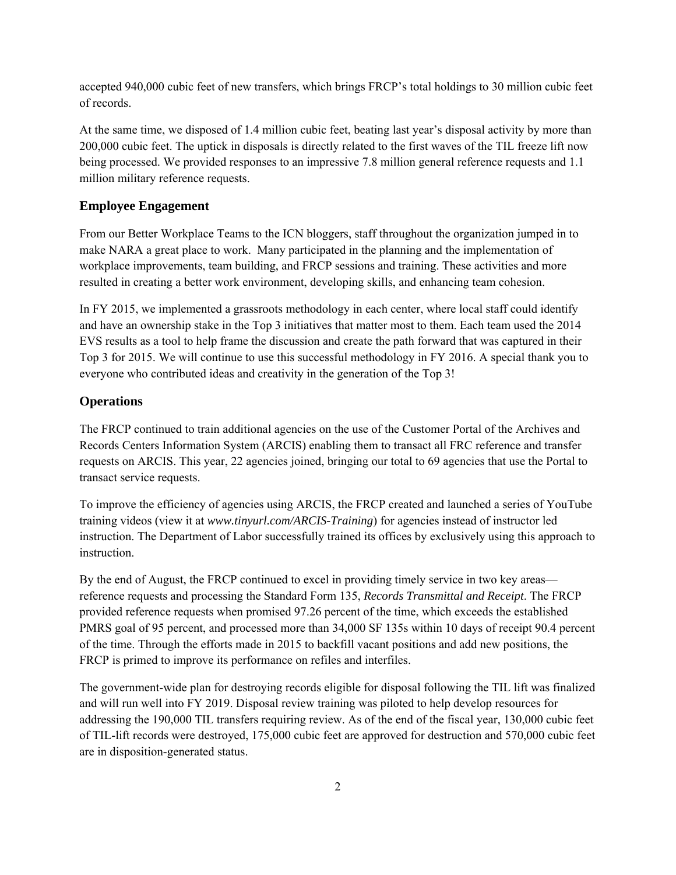accepted 940,000 cubic feet of new transfers, which brings FRCP's total holdings to 30 million cubic feet of records.

At the same time, we disposed of 1.4 million cubic feet, beating last year's disposal activity by more than 200,000 cubic feet. The uptick in disposals is directly related to the first waves of the TIL freeze lift now being processed. We provided responses to an impressive 7.8 million general reference requests and 1.1 million military reference requests.

## **Employee Engagement**

From our Better Workplace Teams to the ICN bloggers, staff throughout the organization jumped in to make NARA a great place to work. Many participated in the planning and the implementation of workplace improvements, team building, and FRCP sessions and training. These activities and more resulted in creating a better work environment, developing skills, and enhancing team cohesion.

In FY 2015, we implemented a grassroots methodology in each center, where local staff could identify and have an ownership stake in the Top 3 initiatives that matter most to them. Each team used the 2014 EVS results as a tool to help frame the discussion and create the path forward that was captured in their Top 3 for 2015. We will continue to use this successful methodology in FY 2016. A special thank you to everyone who contributed ideas and creativity in the generation of the Top 3!

## **Operations**

The FRCP continued to train additional agencies on the use of the Customer Portal of the Archives and Records Centers Information System (ARCIS) enabling them to transact all FRC reference and transfer requests on ARCIS. This year, 22 agencies joined, bringing our total to 69 agencies that use the Portal to transact service requests.

To improve the efficiency of agencies using ARCIS, the FRCP created and launched a series of YouTube training videos (view it at *www.tinyurl.com/ARCIS-Training*) for agencies instead of instructor led instruction. The Department of Labor successfully trained its offices by exclusively using this approach to instruction.

By the end of August, the FRCP continued to excel in providing timely service in two key areas reference requests and processing the Standard Form 135, *Records Transmittal and Receipt*. The FRCP provided reference requests when promised 97.26 percent of the time, which exceeds the established PMRS goal of 95 percent, and processed more than 34,000 SF 135s within 10 days of receipt 90.4 percent of the time. Through the efforts made in 2015 to backfill vacant positions and add new positions, the FRCP is primed to improve its performance on refiles and interfiles.

The government-wide plan for destroying records eligible for disposal following the TIL lift was finalized and will run well into FY 2019. Disposal review training was piloted to help develop resources for addressing the 190,000 TIL transfers requiring review. As of the end of the fiscal year, 130,000 cubic feet of TIL-lift records were destroyed, 175,000 cubic feet are approved for destruction and 570,000 cubic feet are in disposition-generated status.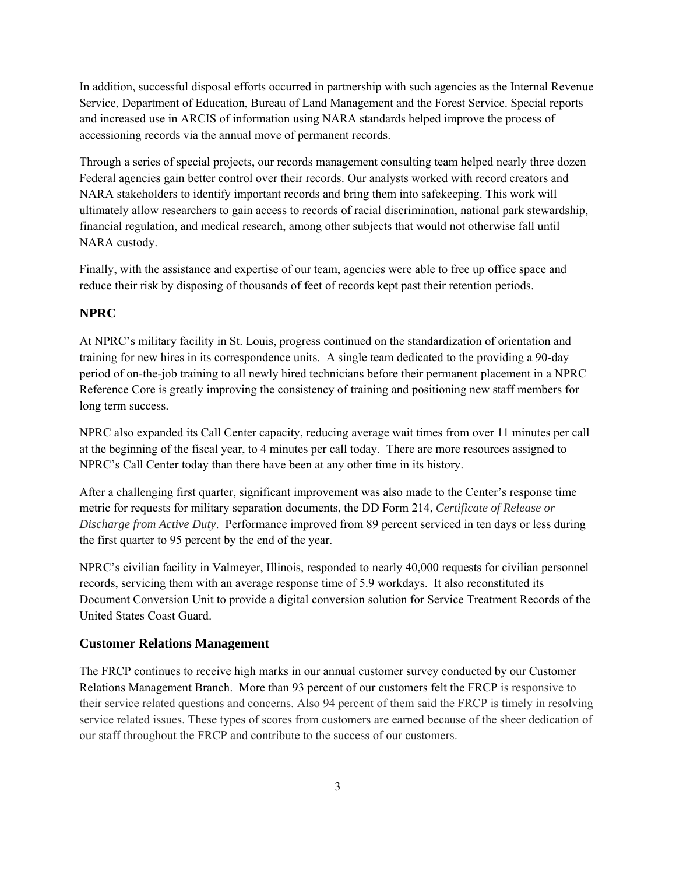In addition, successful disposal efforts occurred in partnership with such agencies as the Internal Revenue Service, Department of Education, Bureau of Land Management and the Forest Service. Special reports and increased use in ARCIS of information using NARA standards helped improve the process of accessioning records via the annual move of permanent records.

Through a series of special projects, our records management consulting team helped nearly three dozen Federal agencies gain better control over their records. Our analysts worked with record creators and NARA stakeholders to identify important records and bring them into safekeeping. This work will ultimately allow researchers to gain access to records of racial discrimination, national park stewardship, financial regulation, and medical research, among other subjects that would not otherwise fall until NARA custody.

Finally, with the assistance and expertise of our team, agencies were able to free up office space and reduce their risk by disposing of thousands of feet of records kept past their retention periods.

## **NPRC**

At NPRC's military facility in St. Louis, progress continued on the standardization of orientation and training for new hires in its correspondence units. A single team dedicated to the providing a 90-day period of on-the-job training to all newly hired technicians before their permanent placement in a NPRC Reference Core is greatly improving the consistency of training and positioning new staff members for long term success.

NPRC also expanded its Call Center capacity, reducing average wait times from over 11 minutes per call at the beginning of the fiscal year, to 4 minutes per call today. There are more resources assigned to NPRC's Call Center today than there have been at any other time in its history.

After a challenging first quarter, significant improvement was also made to the Center's response time metric for requests for military separation documents, the DD Form 214, *Certificate of Release or Discharge from Active Duty*. Performance improved from 89 percent serviced in ten days or less during the first quarter to 95 percent by the end of the year.

NPRC's civilian facility in Valmeyer, Illinois, responded to nearly 40,000 requests for civilian personnel records, servicing them with an average response time of 5.9 workdays. It also reconstituted its Document Conversion Unit to provide a digital conversion solution for Service Treatment Records of the United States Coast Guard.

## **Customer Relations Management**

The FRCP continues to receive high marks in our annual customer survey conducted by our Customer Relations Management Branch. More than 93 percent of our customers felt the FRCP is responsive to their service related questions and concerns. Also 94 percent of them said the FRCP is timely in resolving service related issues. These types of scores from customers are earned because of the sheer dedication of our staff throughout the FRCP and contribute to the success of our customers.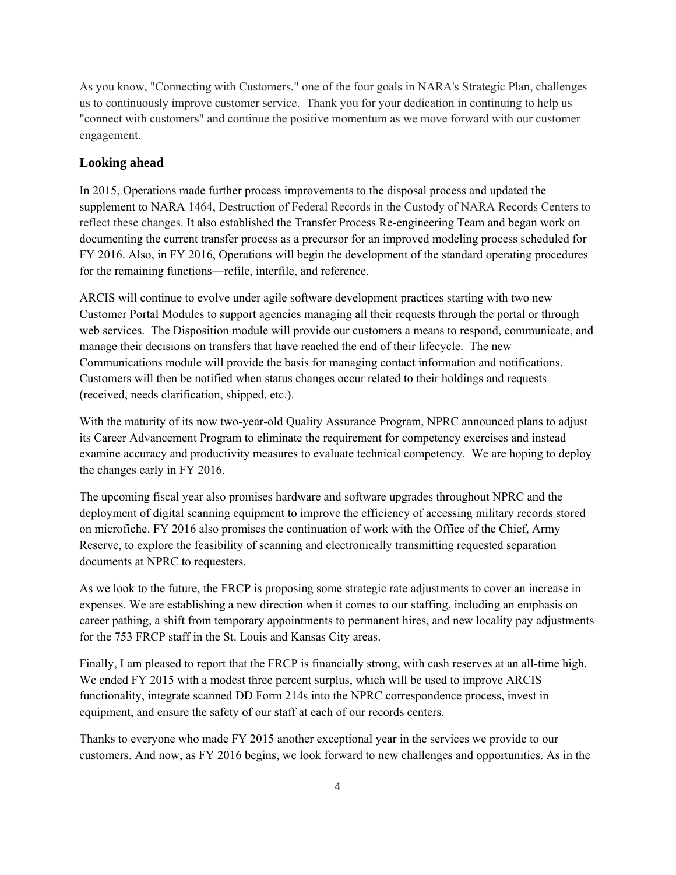As you know, "Connecting with Customers," one of the four goals in NARA's Strategic Plan, challenges us to continuously improve customer service. Thank you for your dedication in continuing to help us "connect with customers" and continue the positive momentum as we move forward with our customer engagement.

## **Looking ahead**

In 2015, Operations made further process improvements to the disposal process and updated the supplement to NARA 1464, Destruction of Federal Records in the Custody of NARA Records Centers to reflect these changes. It also established the Transfer Process Re-engineering Team and began work on documenting the current transfer process as a precursor for an improved modeling process scheduled for FY 2016. Also, in FY 2016, Operations will begin the development of the standard operating procedures for the remaining functions—refile, interfile, and reference.

ARCIS will continue to evolve under agile software development practices starting with two new Customer Portal Modules to support agencies managing all their requests through the portal or through web services. The Disposition module will provide our customers a means to respond, communicate, and manage their decisions on transfers that have reached the end of their lifecycle. The new Communications module will provide the basis for managing contact information and notifications. Customers will then be notified when status changes occur related to their holdings and requests (received, needs clarification, shipped, etc.).

With the maturity of its now two-year-old Quality Assurance Program, NPRC announced plans to adjust its Career Advancement Program to eliminate the requirement for competency exercises and instead examine accuracy and productivity measures to evaluate technical competency. We are hoping to deploy the changes early in FY 2016.

The upcoming fiscal year also promises hardware and software upgrades throughout NPRC and the deployment of digital scanning equipment to improve the efficiency of accessing military records stored on microfiche. FY 2016 also promises the continuation of work with the Office of the Chief, Army Reserve, to explore the feasibility of scanning and electronically transmitting requested separation documents at NPRC to requesters.

As we look to the future, the FRCP is proposing some strategic rate adjustments to cover an increase in expenses. We are establishing a new direction when it comes to our staffing, including an emphasis on career pathing, a shift from temporary appointments to permanent hires, and new locality pay adjustments for the 753 FRCP staff in the St. Louis and Kansas City areas.

Finally, I am pleased to report that the FRCP is financially strong, with cash reserves at an all-time high. We ended FY 2015 with a modest three percent surplus, which will be used to improve ARCIS functionality, integrate scanned DD Form 214s into the NPRC correspondence process, invest in equipment, and ensure the safety of our staff at each of our records centers.

Thanks to everyone who made FY 2015 another exceptional year in the services we provide to our customers. And now, as FY 2016 begins, we look forward to new challenges and opportunities. As in the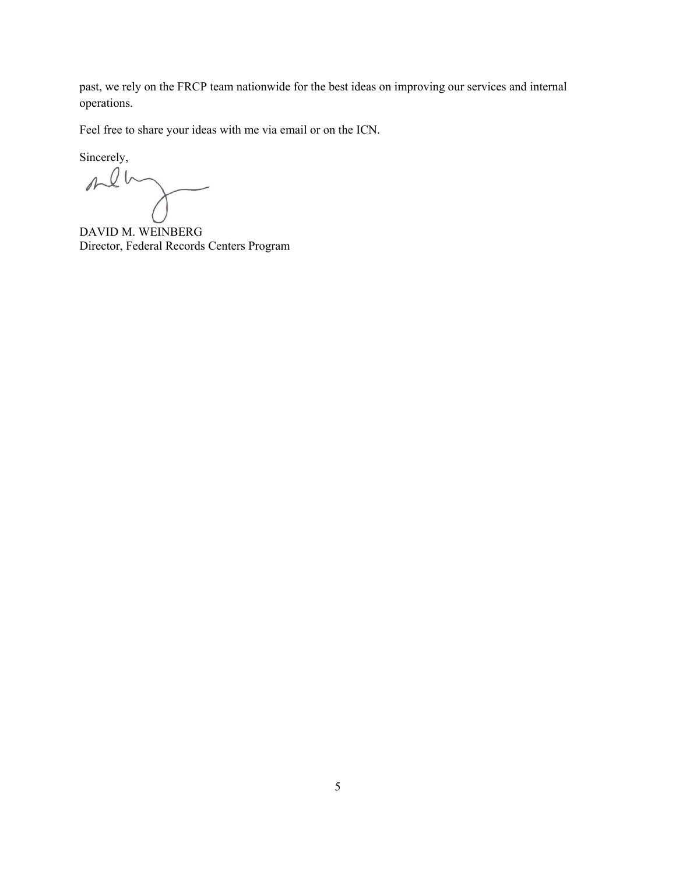past, we rely on the FRCP team nationwide for the best ideas on improving our services and internal operations.

Feel free to share your ideas with me via email or on the ICN.

Sincerely,<br> $\Lambda$ 

DAVID M. WEINBERG Director, Federal Records Centers Program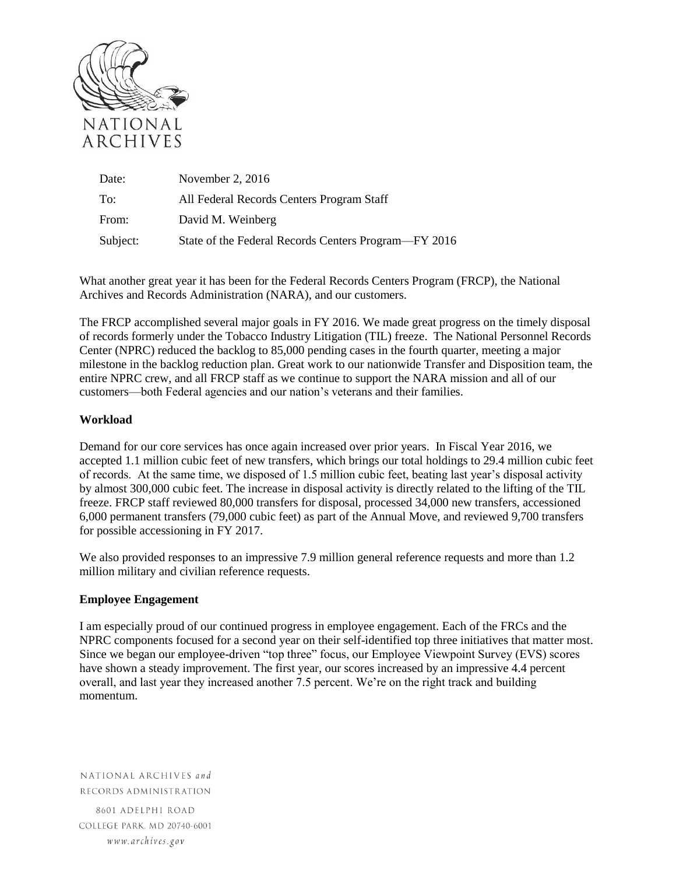

| Date:    | November 2, $2016$                                   |
|----------|------------------------------------------------------|
| To:      | All Federal Records Centers Program Staff            |
| From:    | David M. Weinberg                                    |
| Subject: | State of the Federal Records Centers Program—FY 2016 |

What another great year it has been for the Federal Records Centers Program (FRCP), the National Archives and Records Administration (NARA), and our customers.

The FRCP accomplished several major goals in FY 2016. We made great progress on the timely disposal of records formerly under the Tobacco Industry Litigation (TIL) freeze. The National Personnel Records Center (NPRC) reduced the backlog to 85,000 pending cases in the fourth quarter, meeting a major milestone in the backlog reduction plan. Great work to our nationwide Transfer and Disposition team, the entire NPRC crew, and all FRCP staff as we continue to support the NARA mission and all of our customers—both Federal agencies and our nation's veterans and their families.

## **Workload**

Demand for our core services has once again increased over prior years. In Fiscal Year 2016, we accepted 1.1 million cubic feet of new transfers, which brings our total holdings to 29.4 million cubic feet of records. At the same time, we disposed of 1.5 million cubic feet, beating last year's disposal activity by almost 300,000 cubic feet. The increase in disposal activity is directly related to the lifting of the TIL freeze. FRCP staff reviewed 80,000 transfers for disposal, processed 34,000 new transfers, accessioned 6,000 permanent transfers (79,000 cubic feet) as part of the Annual Move, and reviewed 9,700 transfers for possible accessioning in FY 2017.

We also provided responses to an impressive 7.9 million general reference requests and more than 1.2 million military and civilian reference requests.

## **Employee Engagement**

I am especially proud of our continued progress in employee engagement. Each of the FRCs and the NPRC components focused for a second year on their self-identified top three initiatives that matter most. Since we began our employee-driven "top three" focus, our Employee Viewpoint Survey (EVS) scores have shown a steady improvement. The first year, our scores increased by an impressive 4.4 percent overall, and last year they increased another 7.5 percent. We're on the right track and building momentum.

NATIONAL ARCHIVES and RECORDS ADMINISTRATION 8601 ADELPHI ROAD COLLEGE PARK. MD 20740-6001 www.archives.gov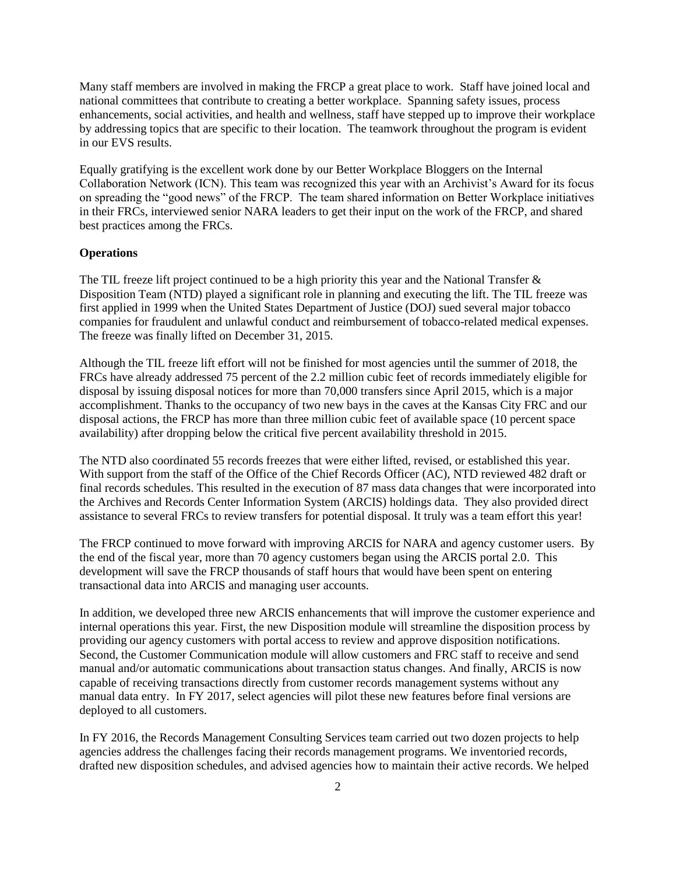Many staff members are involved in making the FRCP a great place to work. Staff have joined local and national committees that contribute to creating a better workplace. Spanning safety issues, process enhancements, social activities, and health and wellness, staff have stepped up to improve their workplace by addressing topics that are specific to their location. The teamwork throughout the program is evident in our EVS results.

Equally gratifying is the excellent work done by our Better Workplace Bloggers on the Internal Collaboration Network (ICN). This team was recognized this year with an Archivist's Award for its focus on spreading the "good news" of the FRCP. The team shared information on Better Workplace initiatives in their FRCs, interviewed senior NARA leaders to get their input on the work of the FRCP, and shared best practices among the FRCs.

#### **Operations**

The TIL freeze lift project continued to be a high priority this year and the National Transfer & Disposition Team (NTD) played a significant role in planning and executing the lift. The TIL freeze was first applied in 1999 when the United States Department of Justice (DOJ) sued several major tobacco companies for fraudulent and unlawful conduct and reimbursement of tobacco-related medical expenses. The freeze was finally lifted on December 31, 2015.

Although the TIL freeze lift effort will not be finished for most agencies until the summer of 2018, the FRCs have already addressed 75 percent of the 2.2 million cubic feet of records immediately eligible for disposal by issuing disposal notices for more than 70,000 transfers since April 2015, which is a major accomplishment. Thanks to the occupancy of two new bays in the caves at the Kansas City FRC and our disposal actions, the FRCP has more than three million cubic feet of available space (10 percent space availability) after dropping below the critical five percent availability threshold in 2015.

The NTD also coordinated 55 records freezes that were either lifted, revised, or established this year. With support from the staff of the Office of the Chief Records Officer (AC), NTD reviewed 482 draft or final records schedules. This resulted in the execution of 87 mass data changes that were incorporated into the Archives and Records Center Information System (ARCIS) holdings data. They also provided direct assistance to several FRCs to review transfers for potential disposal. It truly was a team effort this year!

The FRCP continued to move forward with improving ARCIS for NARA and agency customer users. By the end of the fiscal year, more than 70 agency customers began using the ARCIS portal 2.0. This development will save the FRCP thousands of staff hours that would have been spent on entering transactional data into ARCIS and managing user accounts.

In addition, we developed three new ARCIS enhancements that will improve the customer experience and internal operations this year. First, the new Disposition module will streamline the disposition process by providing our agency customers with portal access to review and approve disposition notifications. Second, the Customer Communication module will allow customers and FRC staff to receive and send manual and/or automatic communications about transaction status changes. And finally, ARCIS is now capable of receiving transactions directly from customer records management systems without any manual data entry. In FY 2017, select agencies will pilot these new features before final versions are deployed to all customers.

In FY 2016, the Records Management Consulting Services team carried out two dozen projects to help agencies address the challenges facing their records management programs. We inventoried records, drafted new disposition schedules, and advised agencies how to maintain their active records. We helped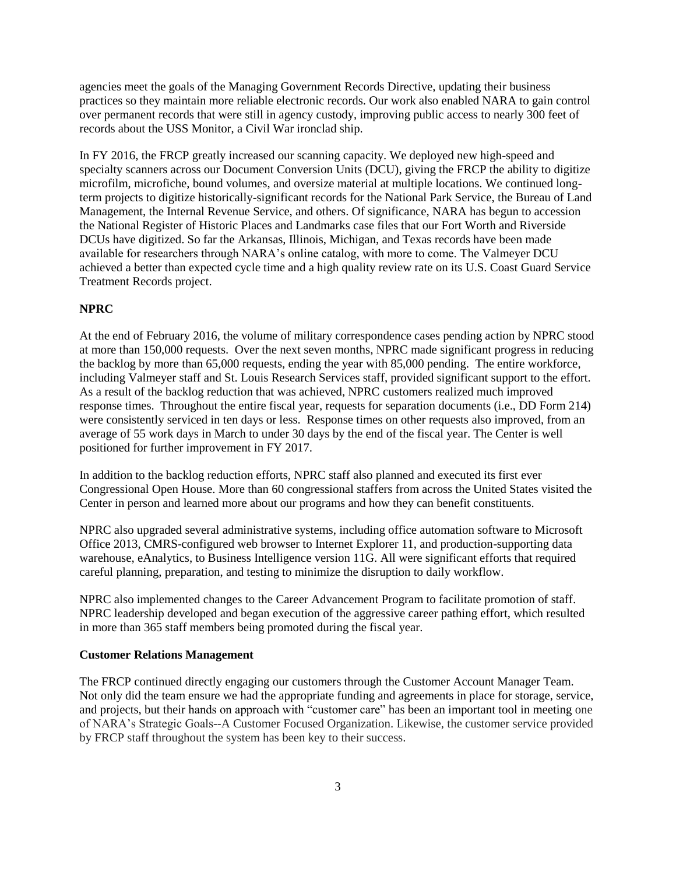agencies meet the goals of the Managing Government Records Directive, updating their business practices so they maintain more reliable electronic records. Our work also enabled NARA to gain control over permanent records that were still in agency custody, improving public access to nearly 300 feet of records about the USS Monitor, a Civil War ironclad ship.

In FY 2016, the FRCP greatly increased our scanning capacity. We deployed new high-speed and specialty scanners across our Document Conversion Units (DCU), giving the FRCP the ability to digitize microfilm, microfiche, bound volumes, and oversize material at multiple locations. We continued longterm projects to digitize historically-significant records for the National Park Service, the Bureau of Land Management, the Internal Revenue Service, and others. Of significance, NARA has begun to accession the National Register of Historic Places and Landmarks case files that our Fort Worth and Riverside DCUs have digitized. So far the Arkansas, Illinois, Michigan, and Texas records have been made available for researchers through NARA's online catalog, with more to come. The Valmeyer DCU achieved a better than expected cycle time and a high quality review rate on its U.S. Coast Guard Service Treatment Records project.

### **NPRC**

At the end of February 2016, the volume of military correspondence cases pending action by NPRC stood at more than 150,000 requests. Over the next seven months, NPRC made significant progress in reducing the backlog by more than 65,000 requests, ending the year with 85,000 pending. The entire workforce, including Valmeyer staff and St. Louis Research Services staff, provided significant support to the effort. As a result of the backlog reduction that was achieved, NPRC customers realized much improved response times. Throughout the entire fiscal year, requests for separation documents (i.e., DD Form 214) were consistently serviced in ten days or less. Response times on other requests also improved, from an average of 55 work days in March to under 30 days by the end of the fiscal year. The Center is well positioned for further improvement in FY 2017.

In addition to the backlog reduction efforts, NPRC staff also planned and executed its first ever Congressional Open House. More than 60 congressional staffers from across the United States visited the Center in person and learned more about our programs and how they can benefit constituents.

NPRC also upgraded several administrative systems, including office automation software to Microsoft Office 2013, CMRS-configured web browser to Internet Explorer 11, and production-supporting data warehouse, eAnalytics, to Business Intelligence version 11G. All were significant efforts that required careful planning, preparation, and testing to minimize the disruption to daily workflow.

NPRC also implemented changes to the Career Advancement Program to facilitate promotion of staff. NPRC leadership developed and began execution of the aggressive career pathing effort, which resulted in more than 365 staff members being promoted during the fiscal year.

#### **Customer Relations Management**

The FRCP continued directly engaging our customers through the Customer Account Manager Team. Not only did the team ensure we had the appropriate funding and agreements in place for storage, service, and projects, but their hands on approach with "customer care" has been an important tool in meeting one of NARA's Strategic Goals--A Customer Focused Organization. Likewise, the customer service provided by FRCP staff throughout the system has been key to their success.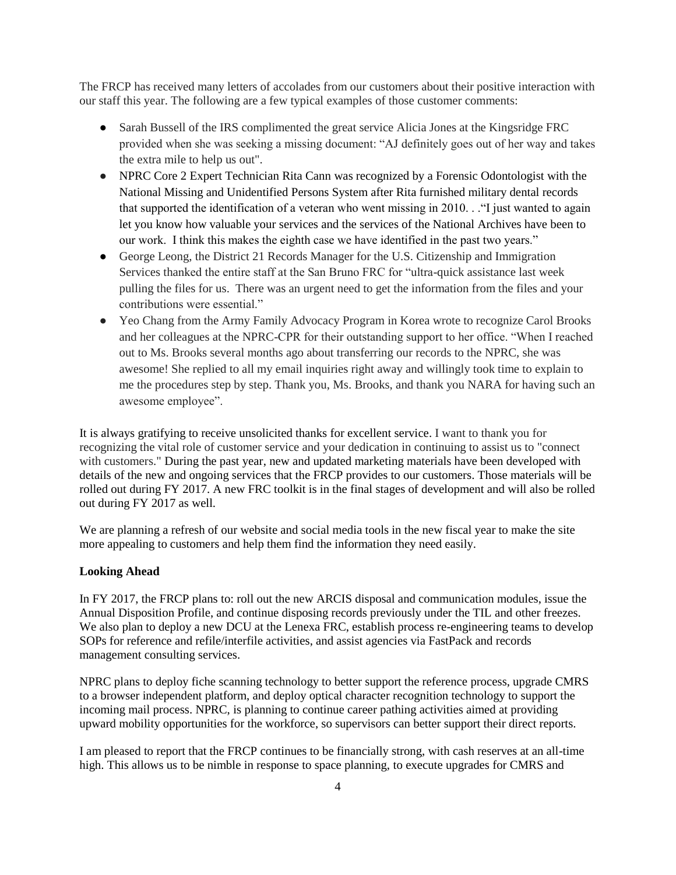The FRCP has received many letters of accolades from our customers about their positive interaction with our staff this year. The following are a few typical examples of those customer comments:

- Sarah Bussell of the IRS complimented the great service Alicia Jones at the Kingsridge FRC provided when she was seeking a missing document: "AJ definitely goes out of her way and takes the extra mile to help us out".
- NPRC Core 2 Expert Technician Rita Cann was recognized by a Forensic Odontologist with the National Missing and Unidentified Persons System after Rita furnished military dental records that supported the identification of a veteran who went missing in 2010. . ."I just wanted to again let you know how valuable your services and the services of the National Archives have been to our work. I think this makes the eighth case we have identified in the past two years."
- George Leong, the District 21 Records Manager for the U.S. Citizenship and Immigration Services thanked the entire staff at the San Bruno FRC for "ultra-quick assistance last week pulling the files for us. There was an urgent need to get the information from the files and your contributions were essential."
- Yeo Chang from the Army Family Advocacy Program in Korea wrote to recognize Carol Brooks and her colleagues at the NPRC-CPR for their outstanding support to her office. "When I reached out to Ms. Brooks several months ago about transferring our records to the NPRC, she was awesome! She replied to all my email inquiries right away and willingly took time to explain to me the procedures step by step. Thank you, Ms. Brooks, and thank you NARA for having such an awesome employee".

It is always gratifying to receive unsolicited thanks for excellent service. I want to thank you for recognizing the vital role of customer service and your dedication in continuing to assist us to "connect with customers." During the past year, new and updated marketing materials have been developed with details of the new and ongoing services that the FRCP provides to our customers. Those materials will be rolled out during FY 2017. A new FRC toolkit is in the final stages of development and will also be rolled out during FY 2017 as well.

We are planning a refresh of our website and social media tools in the new fiscal year to make the site more appealing to customers and help them find the information they need easily.

#### **Looking Ahead**

In FY 2017, the FRCP plans to: roll out the new ARCIS disposal and communication modules, issue the Annual Disposition Profile, and continue disposing records previously under the TIL and other freezes. We also plan to deploy a new DCU at the Lenexa FRC, establish process re-engineering teams to develop SOPs for reference and refile/interfile activities, and assist agencies via FastPack and records management consulting services.

NPRC plans to deploy fiche scanning technology to better support the reference process, upgrade CMRS to a browser independent platform, and deploy optical character recognition technology to support the incoming mail process. NPRC, is planning to continue career pathing activities aimed at providing upward mobility opportunities for the workforce, so supervisors can better support their direct reports.

I am pleased to report that the FRCP continues to be financially strong, with cash reserves at an all-time high. This allows us to be nimble in response to space planning, to execute upgrades for CMRS and